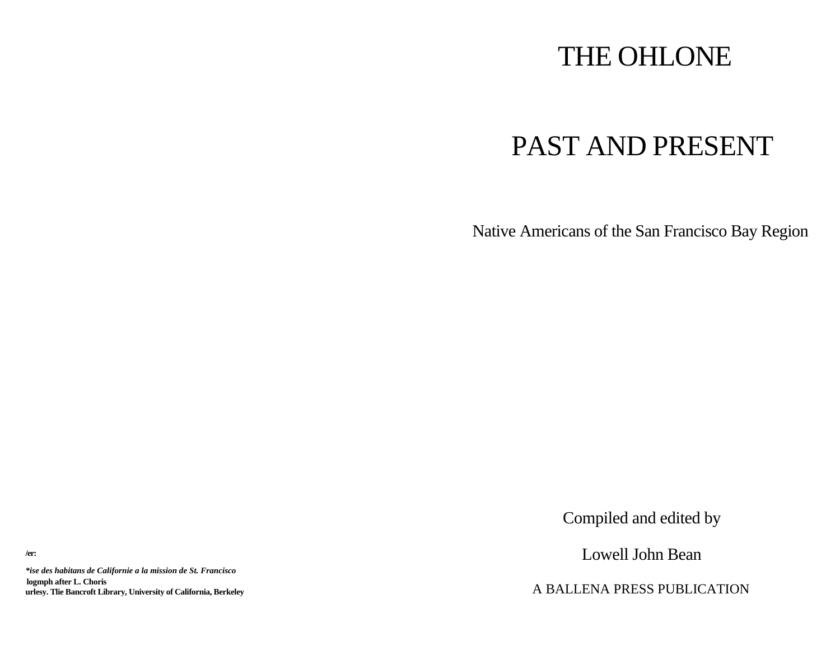# THE OHLONE

# PAST AND PRESENT

Native Americans of the San Francisco Bay Region

Compiled and edited by

Lowell John Bean

A BALLENA PRESS PUBLICATION

**/er:**

*\*ise des habitans de Californie a la mission de St. Francisco* **logmph after L. Choris urlesy. Tlie Bancroft Library, University of California, Berkeley**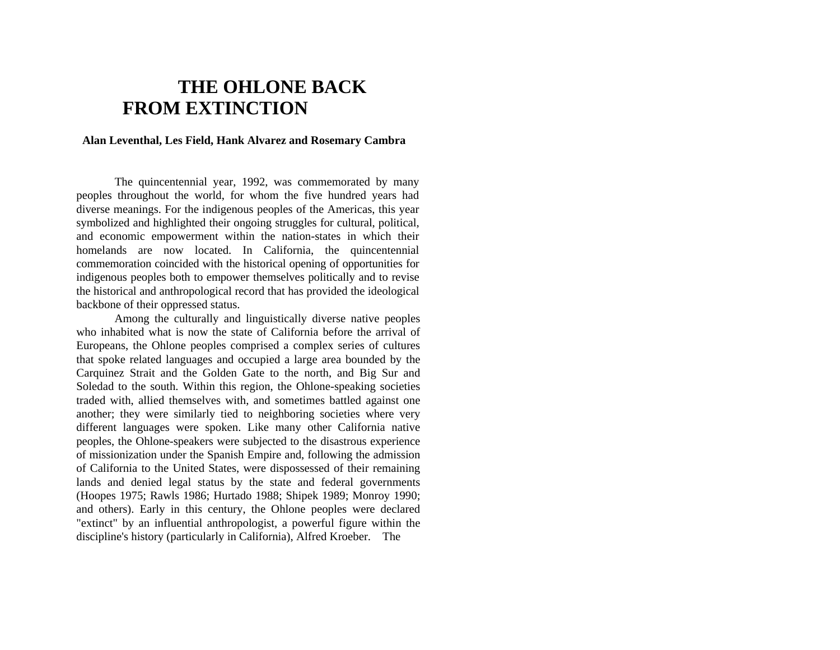# **THE OHLONE BACK FROM EXTINCTION**

#### **Alan Leventhal, Les Field, Hank Alvarez and Rosemary Cambra**

The quincentennial year, 1992, was commemorated by many peoples throughout the world, for whom the five hundred years had diverse meanings. For the indigenous peoples of the Americas, this year symbolized and highlighted their ongoing struggles for cultural, political, and economic empowerment within the nation-states in which their homelands are now located. In California, the quincentennial commemoration coincided with the historical opening of opportunities for indigenous peoples both to empower themselves politically and to revise the historical and anthropological record that has provided the ideological backbone of their oppressed status.

Among the culturally and linguistically diverse native peoples who inhabited what is now the state of California before the arrival of Europeans, the Ohlone peoples comprised a complex series of cultures that spoke related languages and occupied a large area bounded by the Carquinez Strait and the Golden Gate to the north, and Big Sur and Soledad to the south. Within this region, the Ohlone-speaking societies traded with, allied themselves with, and sometimes battled against one another; they were similarly tied to neighboring societies where very different languages were spoken. Like many other California native peoples, the Ohlone-speakers were subjected to the disastrous experience of missionization under the Spanish Empire and, following the admission of California to the United States, were dispossessed of their remaining lands and denied legal status by the state and federal governments (Hoopes 1975; Rawls 1986; Hurtado 1988; Shipek 1989; Monroy 1990; and others). Early in this century, the Ohlone peoples were declared "extinct" by an influential anthropologist, a powerful figure within the discipline's history (particularly in California), Alfred Kroeber. The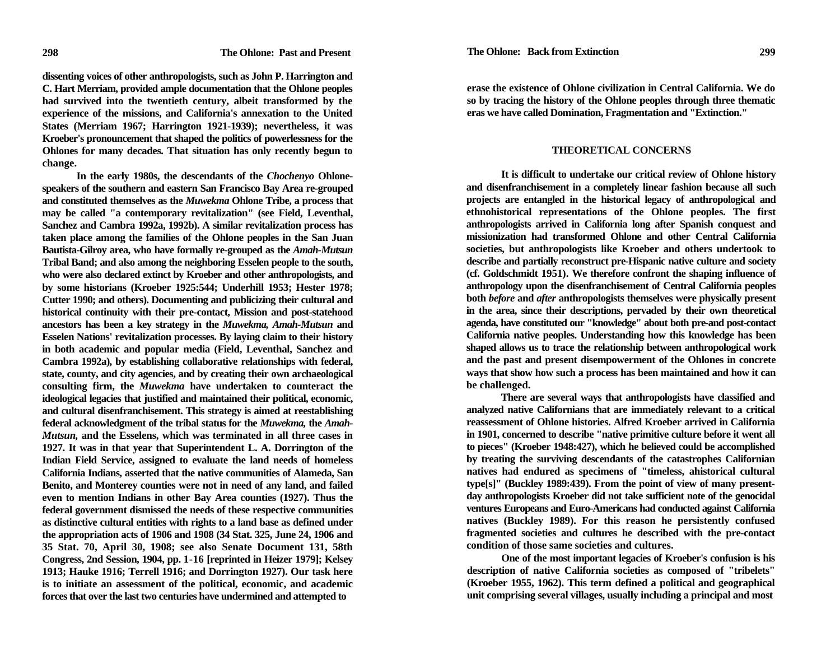**dissenting voices of other anthropologists, such as John P. Harrington and C. Hart Merriam, provided ample documentation that the Ohlone peoples had survived into the twentieth century, albeit transformed by the experience of the missions, and California's annexation to the United States (Merriam 1967; Harrington 1921-1939); nevertheless, it was Kroeber's pronouncement that shaped the politics of powerlessness for the Ohlones for many decades. That situation has only recently begun to change.**

**In the early 1980s, the descendants of the** *Chochenyo* **Ohlonespeakers of the southern and eastern San Francisco Bay Area re-grouped and constituted themselves as the** *Muwekma* **Ohlone Tribe, a process that may be called "a contemporary revitalization" (see Field, Leventhal, Sanchez and Cambra 1992a, 1992b). A similar revitalization process has taken place among the families of the Ohlone peoples in the San Juan Bautista-Gilroy area, who have formally re-grouped as the** *Amah-Mutsun*  **Tribal Band; and also among the neighboring Esselen people to the south, who were also declared extinct by Kroeber and other anthropologists, and by some historians (Kroeber 1925:544; Underhill 1953; Hester 1978; Cutter 1990; and others). Documenting and publicizing their cultural and historical continuity with their pre-contact, Mission and post-statehood ancestors has been a key strategy in the** *Muwekma, Amah-Mutsun* **and Esselen Nations' revitalization processes. By laying claim to their history in both academic and popular media (Field, Leventhal, Sanchez and Cambra 1992a), by establishing collaborative relationships with federal, state, county, and city agencies, and by creating their own archaeological consulting firm, the** *Muwekma* **have undertaken to counteract the ideological legacies that justified and maintained their political, economic, and cultural disenfranchisement. This strategy is aimed at reestablishing federal acknowledgment of the tribal status for the** *Muwekma,* **the** *Amah-Mutsun,* **and the Esselens, which was terminated in all three cases in 1927. It was in that year that Superintendent L. A. Dorrington of the Indian Field Service, assigned to evaluate the land needs of homeless California Indians, asserted that the native communities of Alameda, San Benito, and Monterey counties were not in need of any land, and failed even to mention Indians in other Bay Area counties (1927). Thus the federal government dismissed the needs of these respective communities as distinctive cultural entities with rights to a land base as defined under the appropriation acts of 1906 and 1908 (34 Stat. 325, June 24, 1906 and 35 Stat. 70, April 30, 1908; see also Senate Document 131, 58th Congress, 2nd Session, 1904, pp. 1-16 [reprinted in Heizer 1979]; Kelsey 1913; Hauke 1916; Terrell 1916; and Dorrington 1927). Our task here is to initiate an assessment of the political, economic, and academic forces that over the last two centuries have undermined and attempted to**

**erase the existence of Ohlone civilization in Central California. We do so by tracing the history of the Ohlone peoples through three thematic eras we have called Domination, Fragmentation and "Extinction."**

#### **THEORETICAL CONCERNS**

**It is difficult to undertake our critical review of Ohlone history and disenfranchisement in a completely linear fashion because all such projects are entangled in the historical legacy of anthropological and ethnohistorical representations of the Ohlone peoples. The first anthropologists arrived in California long after Spanish conquest and missionization had transformed Ohlone and other Central California societies, but anthropologists like Kroeber and others undertook to describe and partially reconstruct pre-Hispanic native culture and society (cf. Goldschmidt 1951). We therefore confront the shaping influence of anthropology upon the disenfranchisement of Central California peoples both** *before* **and** *after* **anthropologists themselves were physically present in the area, since their descriptions, pervaded by their own theoretical agenda, have constituted our "knowledge" about both pre-and post-contact California native peoples. Understanding how this knowledge has been shaped allows us to trace the relationship between anthropological work and the past and present disempowerment of the Ohlones in concrete ways that show how such a process has been maintained and how it can be challenged.**

**There are several ways that anthropologists have classified and analyzed native Californians that are immediately relevant to a critical reassessment of Ohlone histories. Alfred Kroeber arrived in California in 1901, concerned to describe "native primitive culture before it went all to pieces" (Kroeber 1948:427), which he believed could be accomplished by treating the surviving descendants of the catastrophes Californian natives had endured as specimens of "timeless, ahistorical cultural type[s]" (Buckley 1989:439). From the point of view of many presentday anthropologists Kroeber did not take sufficient note of the genocidal ventures Europeans and Euro-Americans had conducted against California natives (Buckley 1989). For this reason he persistently confused fragmented societies and cultures he described with the pre-contact condition of those same societies and cultures.**

**One of the most important legacies of Kroeber's confusion is his description of native California societies as composed of "tribelets" (Kroeber 1955, 1962). This term defined a political and geographical unit comprising several villages, usually including a principal and most**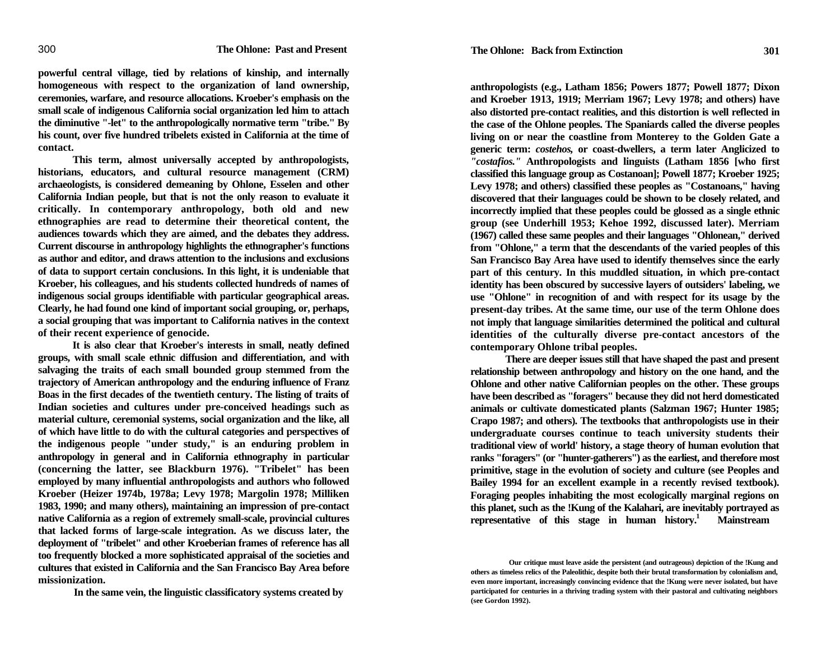**powerful central village, tied by relations of kinship, and internally homogeneous with respect to the organization of land ownership, ceremonies, warfare, and resource allocations. Kroeber's emphasis on the small scale of indigenous California social organization led him to attach the diminutive "-let" to the anthropologically normative term "tribe." By his count, over five hundred tribelets existed in California at the time of contact.**

**This term, almost universally accepted by anthropologists, historians, educators, and cultural resource management (CRM) archaeologists, is considered demeaning by Ohlone, Esselen and other California Indian people, but that is not the only reason to evaluate it critically. In contemporary anthropology, both old and new ethnographies are read to determine their theoretical content, the audiences towards which they are aimed, and the debates they address. Current discourse in anthropology highlights the ethnographer's functions as author and editor, and draws attention to the inclusions and exclusions of data to support certain conclusions. In this light, it is undeniable that Kroeber, his colleagues, and his students collected hundreds of names of indigenous social groups identifiable with particular geographical areas. Clearly, he had found one kind of important social grouping, or, perhaps, a social grouping that was important to California natives in the context of their recent experience of genocide.**

**It is also clear that Kroeber's interests in small, neatly defined groups, with small scale ethnic diffusion and differentiation, and with salvaging the traits of each small bounded group stemmed from the trajectory of American anthropology and the enduring influence of Franz Boas in the first decades of the twentieth century. The listing of traits of Indian societies and cultures under pre-conceived headings such as material culture, ceremonial systems, social organization and the like, all of which have little to do with the cultural categories and perspectives of the indigenous people "under study," is an enduring problem in anthropology in general and in California ethnography in particular (concerning the latter, see Blackburn 1976). "Tribelet" has been employed by many influential anthropologists and authors who followed Kroeber (Heizer 1974b, 1978a; Levy 1978; Margolin 1978; Milliken 1983, 1990; and many others), maintaining an impression of pre-contact native California as a region of extremely small-scale, provincial cultures that lacked forms of large-scale integration. As we discuss later, the deployment of "tribelet" and other Kroeberian frames of reference has all too frequently blocked a more sophisticated appraisal of the societies and cultures that existed in California and the San Francisco Bay Area before missionization.**

**In the same vein, the linguistic classificatory systems created by**

**anthropologists (e.g., Latham 1856; Powers 1877; Powell 1877; Dixon and Kroeber 1913, 1919; Merriam 1967; Levy 1978; and others) have also distorted pre-contact realities, and this distortion is well reflected in the case of the Ohlone peoples. The Spaniards called the diverse peoples living on or near the coastline from Monterey to the Golden Gate a generic term:** *costehos,* **or coast-dwellers, a term later Anglicized to**  *"costafios."* **Anthropologists and linguists (Latham 1856 [who first classified this language group as Costanoan]; Powell 1877; Kroeber 1925; Levy 1978; and others) classified these peoples as "Costanoans," having discovered that their languages could be shown to be closely related, and incorrectly implied that these peoples could be glossed as a single ethnic group (see Underhill 1953; Kehoe 1992, discussed later). Merriam (1967) called these same peoples and their languages "Ohlonean," derived from "Ohlone," a term that the descendants of the varied peoples of this San Francisco Bay Area have used to identify themselves since the early part of this century. In this muddled situation, in which pre-contact identity has been obscured by successive layers of outsiders' labeling, we use "Ohlone" in recognition of and with respect for its usage by the present-day tribes. At the same time, our use of the term Ohlone does not imply that language similarities determined the political and cultural identities of the culturally diverse pre-contact ancestors of the contemporary Ohlone tribal peoples.**

**There are deeper issues still that have shaped the past and present relationship between anthropology and history on the one hand, and the Ohlone and other native Californian peoples on the other. These groups have been described as "foragers" because they did not herd domesticated animals or cultivate domesticated plants (Salzman 1967; Hunter 1985; Crapo 1987; and others). The textbooks that anthropologists use in their undergraduate courses continue to teach university students their traditional view of world' history, a stage theory of human evolution that ranks "foragers" (or "hunter-gatherers") as the earliest, and therefore most primitive, stage in the evolution of society and culture (see Peoples and Bailey 1994 for an excellent example in a recently revised textbook). Foraging peoples inhabiting the most ecologically marginal regions on this planet, such as the !Kung of the Kalahari, are inevitably portrayed as representative of this stage in human history.1 Mainstream**

**Our critique must leave aside the persistent (and outrageous) depiction of the !Kung and others as timeless relics of the Paleolithic, despite both their brutal transformation by colonialism and, even more important, increasingly convincing evidence that the !Kung were never isolated, but have participated for centuries in a thriving trading system with their pastoral and cultivating neighbors (see Gordon 1992).**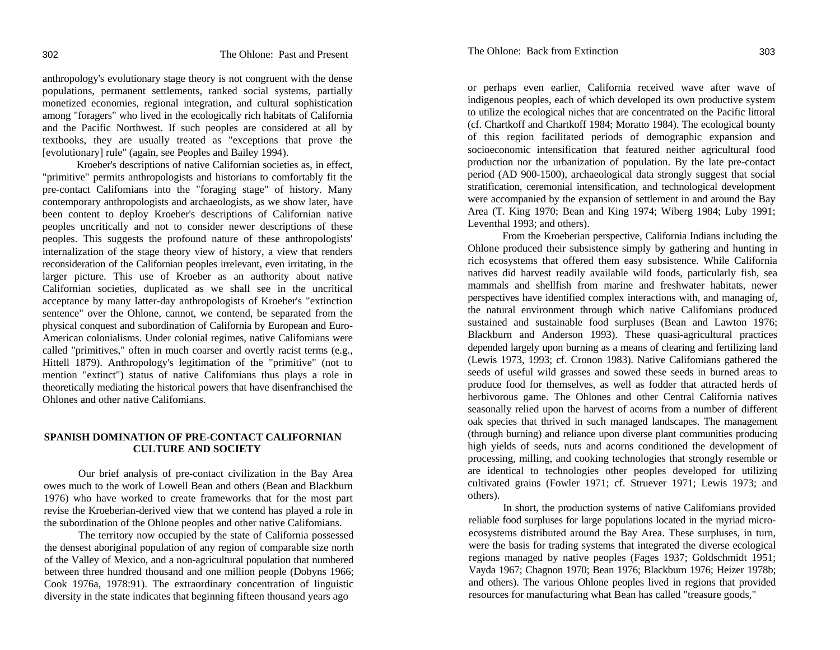anthropology's evolutionary stage theory is not congruent with the dense populations, permanent settlements, ranked social systems, partially monetized economies, regional integration, and cultural sophistication among "foragers" who lived in the ecologically rich habitats of California and the Pacific Northwest. If such peoples are considered at all by textbooks, they are usually treated as "exceptions that prove the [evolutionary] rule" (again, see Peoples and Bailey 1994).

Kroeber's descriptions of native Californian societies as, in effect, "primitive" permits anthropologists and historians to comfortably fit the pre-contact Califomians into the "foraging stage" of history. Many contemporary anthropologists and archaeologists, as we show later, have been content to deploy Kroeber's descriptions of Californian native peoples uncritically and not to consider newer descriptions of these peoples. This suggests the profound nature of these anthropologists' internalization of the stage theory view of history, a view that renders reconsideration of the Californian peoples irrelevant, even irritating, in the larger picture. This use of Kroeber as an authority about native Californian societies, duplicated as we shall see in the uncritical acceptance by many latter-day anthropologists of Kroeber's "extinction sentence" over the Ohlone, cannot, we contend, be separated from the physical conquest and subordination of California by European and Euro-American colonialisms. Under colonial regimes, native Califomians were called "primitives," often in much coarser and overtly racist terms (e.g., Hittell 1879). Anthropology's legitimation of the "primitive" (not to mention "extinct") status of native Califomians thus plays a role in theoretically mediating the historical powers that have disenfranchised the Ohlones and other native Califomians.

#### **SPANISH DOMINATION OF PRE-CONTACT CALIFORNIAN CULTURE AND SOCIETY**

Our brief analysis of pre-contact civilization in the Bay Area owes much to the work of Lowell Bean and others (Bean and Blackburn 1976) who have worked to create frameworks that for the most part revise the Kroeberian-derived view that we contend has played a role in the subordination of the Ohlone peoples and other native Califomians.

The territory now occupied by the state of California possessed the densest aboriginal population of any region of comparable size north of the Valley of Mexico, and a non-agricultural population that numbered between three hundred thousand and one million people (Dobyns 1966; Cook 1976a, 1978:91). The extraordinary concentration of linguistic diversity in the state indicates that beginning fifteen thousand years ago

or perhaps even earlier, California received wave after wave of indigenous peoples, each of which developed its own productive system to utilize the ecological niches that are concentrated on the Pacific littoral (cf. Chartkoff and Chartkoff 1984; Moratto 1984). The ecological bounty of this region facilitated periods of demographic expansion and socioeconomic intensification that featured neither agricultural food production nor the urbanization of population. By the late pre-contact period (AD 900-1500), archaeological data strongly suggest that social stratification, ceremonial intensification, and technological development were accompanied by the expansion of settlement in and around the Bay Area (T. King 1970; Bean and King 1974; Wiberg 1984; Luby 1991; Leventhal 1993; and others).

From the Kroeberian perspective, California Indians including the Ohlone produced their subsistence simply by gathering and hunting in rich ecosystems that offered them easy subsistence. While California natives did harvest readily available wild foods, particularly fish, sea mammals and shellfish from marine and freshwater habitats, newer perspectives have identified complex interactions with, and managing of, the natural environment through which native Califomians produced sustained and sustainable food surpluses (Bean and Lawton 1976; Blackburn and Anderson 1993). These quasi-agricultural practices depended largely upon burning as a means of clearing and fertilizing land (Lewis 1973, 1993; cf. Cronon 1983). Native Califomians gathered the seeds of useful wild grasses and sowed these seeds in burned areas to produce food for themselves, as well as fodder that attracted herds of herbivorous game. The Ohlones and other Central California natives seasonally relied upon the harvest of acorns from a number of different oak species that thrived in such managed landscapes. The management (through burning) and reliance upon diverse plant communities producing high yields of seeds, nuts and acorns conditioned the development of processing, milling, and cooking technologies that strongly resemble or are identical to technologies other peoples developed for utilizing cultivated grains (Fowler 1971; cf. Struever 1971; Lewis 1973; and others).

In short, the production systems of native Califomians provided reliable food surpluses for large populations located in the myriad microecosystems distributed around the Bay Area. These surpluses, in turn, were the basis for trading systems that integrated the diverse ecological regions managed by native peoples (Fages 1937; Goldschmidt 1951; Vayda 1967; Chagnon 1970; Bean 1976; Blackburn 1976; Heizer 1978b; and others). The various Ohlone peoples lived in regions that provided resources for manufacturing what Bean has called "treasure goods,"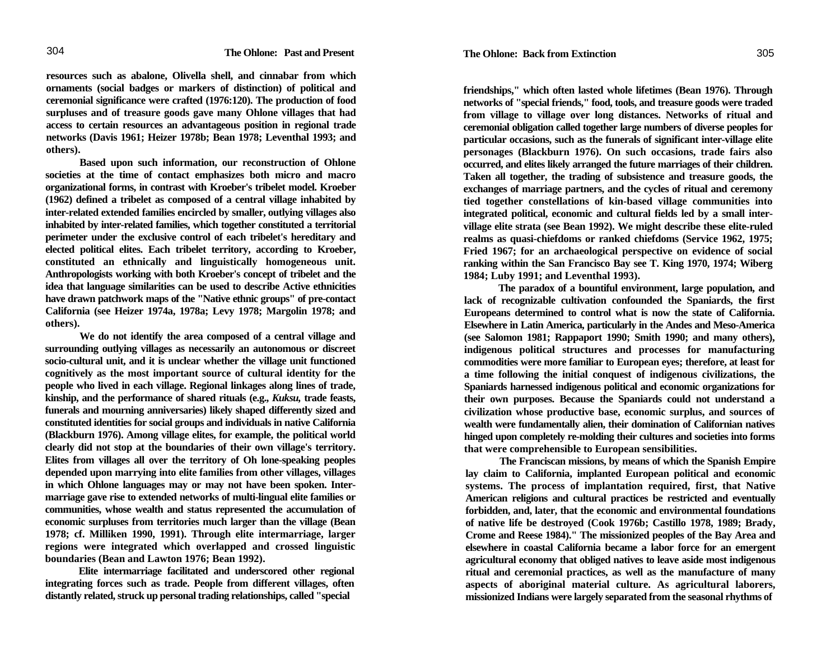**resources such as abalone, Olivella shell, and cinnabar from which ornaments (social badges or markers of distinction) of political and ceremonial significance were crafted (1976:120). The production of food surpluses and of treasure goods gave many Ohlone villages that had access to certain resources an advantageous position in regional trade networks (Davis 1961; Heizer 1978b; Bean 1978; Leventhal 1993; and others).**

**Based upon such information, our reconstruction of Ohlone societies at the time of contact emphasizes both micro and macro organizational forms, in contrast with Kroeber's tribelet model. Kroeber (1962) defined a tribelet as composed of a central village inhabited by inter-related extended families encircled by smaller, outlying villages also inhabited by inter-related families, which together constituted a territorial perimeter under the exclusive control of each tribelet's hereditary and elected political elites. Each tribelet territory, according to Kroeber, constituted an ethnically and linguistically homogeneous unit. Anthropologists working with both Kroeber's concept of tribelet and the idea that language similarities can be used to describe Active ethnicities have drawn patchwork maps of the "Native ethnic groups" of pre-contact California (see Heizer 1974a, 1978a; Levy 1978; Margolin 1978; and others).**

**We do not identify the area composed of a central village and surrounding outlying villages as necessarily an autonomous or discreet socio-cultural unit, and it is unclear whether the village unit functioned cognitively as the most important source of cultural identity for the people who lived in each village. Regional linkages along lines of trade, kinship, and the performance of shared rituals (e.g.,** *Kuksu,* **trade feasts, funerals and mourning anniversaries) likely shaped differently sized and constituted identities for social groups and individuals in native California (Blackburn 1976). Among village elites, for example, the political world clearly did not stop at the boundaries of their own village's territory. Elites from villages all over the territory of Oh lone-speaking peoples depended upon marrying into elite families from other villages, villages in which Ohlone languages may or may not have been spoken. Intermarriage gave rise to extended networks of multi-lingual elite families or communities, whose wealth and status represented the accumulation of economic surpluses from territories much larger than the village (Bean 1978; cf. Milliken 1990, 1991). Through elite intermarriage, larger regions were integrated which overlapped and crossed linguistic boundaries (Bean and Lawton 1976; Bean 1992).**

**Elite intermarriage facilitated and underscored other regional integrating forces such as trade. People from different villages, often distantly related, struck up personal trading relationships, called "special**

**friendships," which often lasted whole lifetimes (Bean 1976). Through networks of "special friends," food, tools, and treasure goods were traded from village to village over long distances. Networks of ritual and ceremonial obligation called together large numbers of diverse peoples for particular occasions, such as the funerals of significant inter-village elite personages (Blackburn 1976). On such occasions, trade fairs also occurred, and elites likely arranged the future marriages of their children. Taken all together, the trading of subsistence and treasure goods, the exchanges of marriage partners, and the cycles of ritual and ceremony tied together constellations of kin-based village communities into integrated political, economic and cultural fields led by a small intervillage elite strata (see Bean 1992). We might describe these elite-ruled realms as quasi-chiefdoms or ranked chiefdoms (Service 1962, 1975; Fried 1967; for an archaeological perspective on evidence of social ranking within the San Francisco Bay see T. King 1970, 1974; Wiberg 1984; Luby 1991; and Leventhal 1993).**

**The paradox of a bountiful environment, large population, and lack of recognizable cultivation confounded the Spaniards, the first Europeans determined to control what is now the state of California. Elsewhere in Latin America, particularly in the Andes and Meso-America (see Salomon 1981; Rappaport 1990; Smith 1990; and many others), indigenous political structures and processes for manufacturing commodities were more familiar to European eyes; therefore, at least for a time following the initial conquest of indigenous civilizations, the Spaniards harnessed indigenous political and economic organizations for their own purposes. Because the Spaniards could not understand a civilization whose productive base, economic surplus, and sources of wealth were fundamentally alien, their domination of Californian natives hinged upon completely re-molding their cultures and societies into forms that were comprehensible to European sensibilities.**

**The Franciscan missions, by means of which the Spanish Empire lay claim to California, implanted European political and economic systems. The process of implantation required, first, that Native American religions and cultural practices be restricted and eventually forbidden, and, later, that the economic and environmental foundations of native life be destroyed (Cook 1976b; Castillo 1978, 1989; Brady, Crome and Reese 1984)." The missionized peoples of the Bay Area and elsewhere in coastal California became a labor force for an emergent agricultural economy that obliged natives to leave aside most indigenous ritual and ceremonial practices, as well as the manufacture of many aspects of aboriginal material culture. As agricultural laborers, missionized Indians were largely separated from the seasonal rhythms of**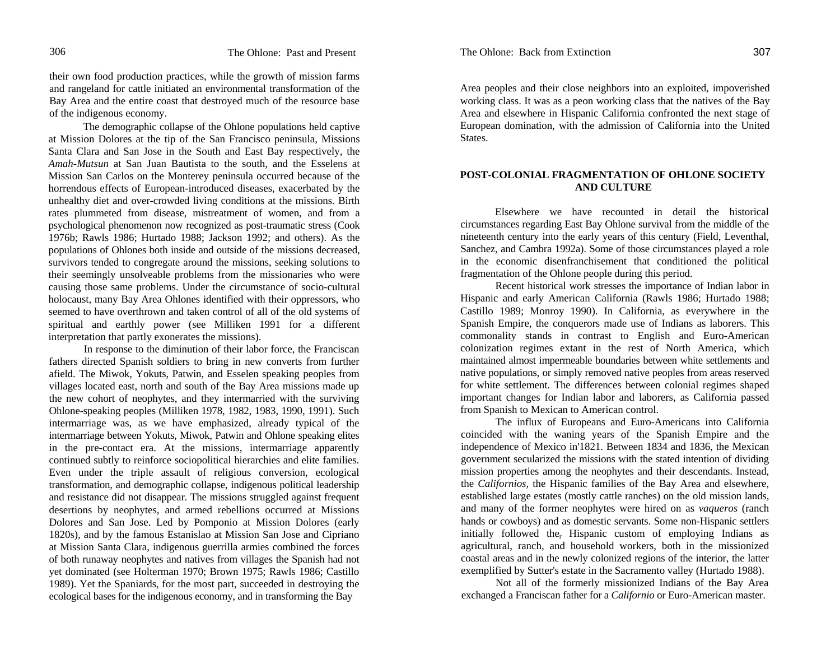their own food production practices, while the growth of mission farms and rangeland for cattle initiated an environmental transformation of the Bay Area and the entire coast that destroyed much of the resource base of the indigenous economy.

The demographic collapse of the Ohlone populations held captive at Mission Dolores at the tip of the San Francisco peninsula, Missions Santa Clara and San Jose in the South and East Bay respectively, the *Amah-Mutsun* at San Juan Bautista to the south, and the Esselens at Mission San Carlos on the Monterey peninsula occurred because of the horrendous effects of European-introduced diseases, exacerbated by the unhealthy diet and over-crowded living conditions at the missions. Birth rates plummeted from disease, mistreatment of women, and from a psychological phenomenon now recognized as post-traumatic stress (Cook 1976b; Rawls 1986; Hurtado 1988; Jackson 1992; and others). As the populations of Ohlones both inside and outside of the missions decreased, survivors tended to congregate around the missions, seeking solutions to their seemingly unsolveable problems from the missionaries who were causing those same problems. Under the circumstance of socio-cultural holocaust, many Bay Area Ohlones identified with their oppressors, who seemed to have overthrown and taken control of all of the old systems of spiritual and earthly power (see Milliken 1991 for a different interpretation that partly exonerates the missions).

In response to the diminution of their labor force, the Franciscan fathers directed Spanish soldiers to bring in new converts from further afield. The Miwok, Yokuts, Patwin, and Esselen speaking peoples from villages located east, north and south of the Bay Area missions made up the new cohort of neophytes, and they intermarried with the surviving Ohlone-speaking peoples (Milliken 1978, 1982, 1983, 1990, 1991). Such intermarriage was, as we have emphasized, already typical of the intermarriage between Yokuts, Miwok, Patwin and Ohlone speaking elites in the pre-contact era. At the missions, intermarriage apparently continued subtly to reinforce sociopolitical hierarchies and elite families. Even under the triple assault of religious conversion, ecological transformation, and demographic collapse, indigenous political leadership and resistance did not disappear. The missions struggled against frequent desertions by neophytes, and armed rebellions occurred at Missions Dolores and San Jose. Led by Pomponio at Mission Dolores (early 1820s), and by the famous Estanislao at Mission San Jose and Cipriano at Mission Santa Clara, indigenous guerrilla armies combined the forces of both runaway neophytes and natives from villages the Spanish had not yet dominated (see Holterman 1970; Brown 1975; Rawls 1986; Castillo 1989). Yet the Spaniards, for the most part, succeeded in destroying the ecological bases for the indigenous economy, and in transforming the Bay

Area peoples and their close neighbors into an exploited, impoverished working class. It was as a peon working class that the natives of the Bay Area and elsewhere in Hispanic California confronted the next stage of European domination, with the admission of California into the United States.

#### **POST-COLONIAL FRAGMENTATION OF OHLONE SOCIETYAND CULTURE**

Elsewhere we have recounted in detail the historical circumstances regarding East Bay Ohlone survival from the middle of the nineteenth century into the early years of this century (Field, Leventhal, Sanchez, and Cambra 1992a). Some of those circumstances played a role in the economic disenfranchisement that conditioned the political fragmentation of the Ohlone people during this period.

Recent historical work stresses the importance of Indian labor in Hispanic and early American California (Rawls 1986; Hurtado 1988; Castillo 1989; Monroy 1990). In California, as everywhere in the Spanish Empire, the conquerors made use of Indians as laborers. This commonality stands in contrast to English and Euro-American colonization regimes extant in the rest of North America, which maintained almost impermeable boundaries between white settlements and native populations, or simply removed native peoples from areas reserved for white settlement. The differences between colonial regimes shaped important changes for Indian labor and laborers, as California passed from Spanish to Mexican to American control.

The influx of Europeans and Euro-Americans into California coincided with the waning years of the Spanish Empire and the independence of Mexico in'1821. Between 1834 and 1836, the Mexican government secularized the missions with the stated intention of dividing mission properties among the neophytes and their descendants. Instead, the *Californios,* the Hispanic families of the Bay Area and elsewhere, established large estates (mostly cattle ranches) on the old mission lands, and many of the former neophytes were hired on as *vaqueros* (ranch hands or cowboys) and as domestic servants. Some non-Hispanic settlers initially followed the Hispanic custom of employing Indians as agricultural, ranch, and household workers, both in the missionized coastal areas and in the newly colonized regions of the interior, the latter exemplified by Sutter's estate in the Sacramento valley (Hurtado 1988).

Not all of the formerly missionized Indians of the Bay Area exchanged a Franciscan father for a *Californio* or Euro-American master.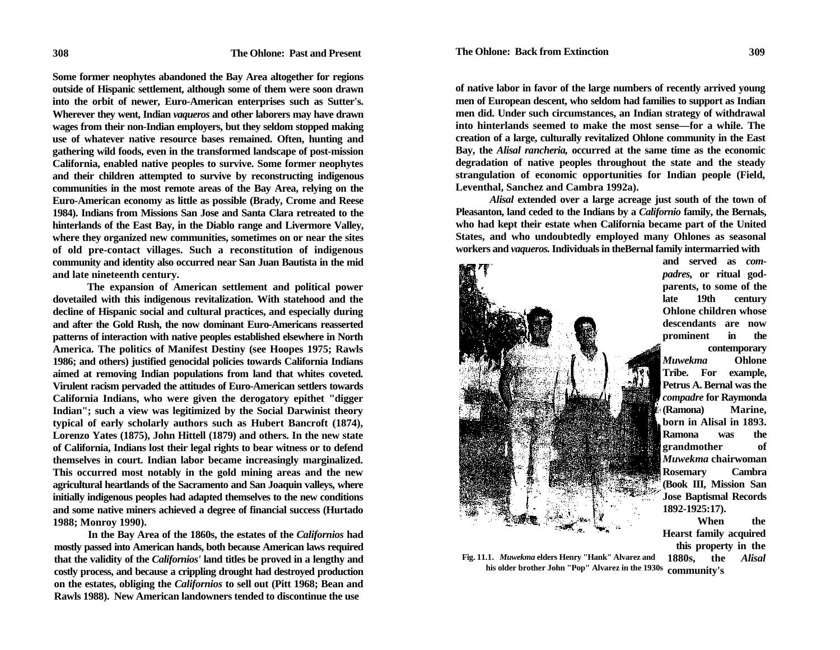**Some former neophytes abandoned the Bay Area altogether for regions outside of Hispanic settlement, although some of them were soon drawn into the orbit of newer, Euro-American enterprises such as Sutter's. Wherever they went, Indian** *vaqueros* **and other laborers may have drawn wages from their non-Indian employers, but they seldom stopped making use of whatever native resource bases remained. Often, hunting and gathering wild foods, even in the transformed landscape of post-mission California, enabled native peoples to survive. Some former neophytes and their children attempted to survive by reconstructing indigenous communities in the most remote areas of the Bay Area, relying on the Euro-American economy as little as possible (Brady, Crome and Reese 1984). Indians from Missions San Jose and Santa Clara retreated to the hinterlands of the East Bay, in the Diablo range and Livermore Valley, where they organized new communities, sometimes on or near the sites of old pre-contact villages. Such a reconstitution of indigenous community and identity also occurred near San Juan Bautista in the mid and late nineteenth century.**

**The expansion of American settlement and political power dovetailed with this indigenous revitalization. With statehood and the decline of Hispanic social and cultural practices, and especially during and after the Gold Rush, the now dominant Euro-Americans reasserted patterns of interaction with native peoples established elsewhere in North America. The politics of Manifest Destiny (see Hoopes 1975; Rawls 1986; and others) justified genocidal policies towards California Indians aimed at removing Indian populations from land that whites coveted. Virulent racism pervaded the attitudes of Euro-American settlers towards California Indians, who were given the derogatory epithet "digger Indian"; such a view was legitimized by the Social Darwinist theory typical of early scholarly authors such as Hubert Bancroft (1874), Lorenzo Yates (1875), John Hittell (1879) and others. In the new state of California, Indians lost their legal rights to bear witness or to defend themselves in court. Indian labor became increasingly marginalized. This occurred most notably in the gold mining areas and the new agricultural heartlands of the Sacramento and San Joaquin valleys, where initially indigenous peoples had adapted themselves to the new conditions and some native miners achieved a degree of financial success (Hurtado 1988; Monroy 1990).**

**In the Bay Area of the 1860s, the estates of the** *Californios* **had mostly passed into American hands, both because American laws required that the validity of the** *Californios'* **land titles be proved in a lengthy and costly process, and because a crippling drought had destroyed production on the estates, obliging the** *Californios* **to sell out (Pitt 1968; Bean and Rawls 1988). New American landowners tended to discontinue the use**

**of native labor in favor of the large numbers of recently arrived young men of European descent, who seldom had families to support as Indian men did. Under such circumstances, an Indian strategy of withdrawal into hinterlands seemed to make the most sense—for a while. The creation of a large, culturally revitalized Ohlone community in the East Bay, the** *Alisal rancheria,* **occurred at the same time as the economic degradation of native peoples throughout the state and the steady strangulation of economic opportunities for Indian people (Field, Leventhal, Sanchez and Cambra 1992a).**

*Alisal* **extended over a large acreage just south of the town of Pleasanton, land ceded to the Indians by a** *Californio* **family, the Bernals, who had kept their estate when California became part of the United States, and who undoubtedly employed many Ohlones as seasonal workers and** *vaqueros.* **Individuals in theBernal family intermarried with**



**and served as** *compadres,* **or ritual godparents, to some of the late 19th century Ohlone children whose descendants are now prominent in the contemporary**  *Muwekma* **Ohlone Tribe. For example, Petrus A. Bernal was the** *compadre* **for Raymonda (Ramona) Marine, born in Alisal in 1893. Ramona was the grandmother of**  *Muwekma* **chairwoman Rosemary Cambra (Book III, Mission San Jose Baptismal Records 1892-1925:17).**

**When the Hearst family acquired this property in the 1880s, the** *Alisal* 

**community's his older brother John "Pop" Alvarez in the 1930sFig. 11.1.** *Muwekma* **elders Henry "Hank" Alvarez and**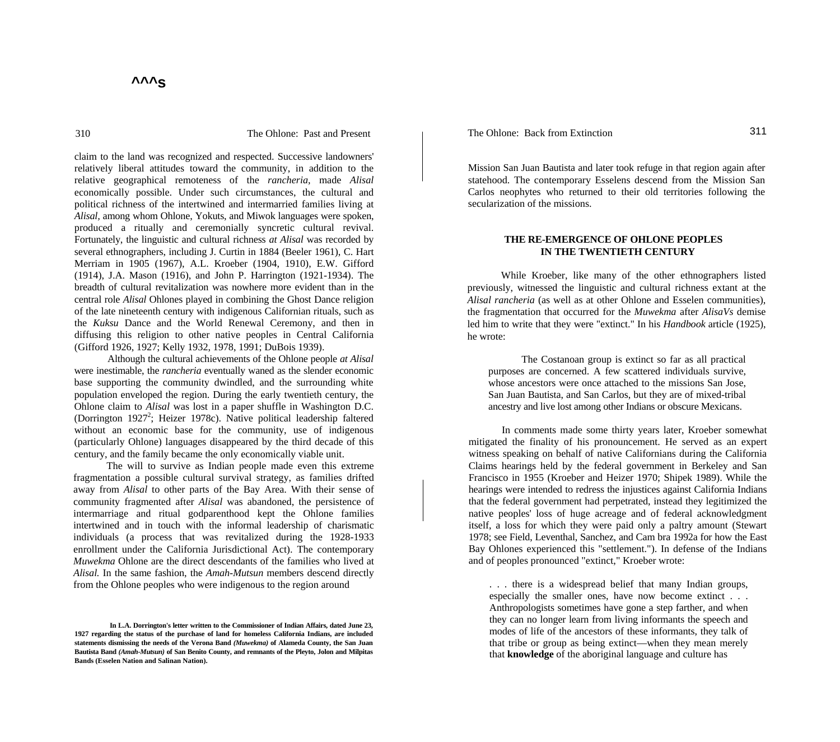The Ohlone: Past and Present

claim to the land was recognized and respected. Successive landowners' relatively liberal attitudes toward the community, in addition to the relative geographical remoteness of the *rancheria,* made *Alisal*  economically possible. Under such circumstances, the cultural and political richness of the intertwined and intermarried families living at *Alisal,* among whom Ohlone, Yokuts, and Miwok languages were spoken, produced a ritually and ceremonially syncretic cultural revival. Fortunately, the linguistic and cultural richness *at Alisal* was recorded by several ethnographers, including J. Curtin in 1884 (Beeler 1961), C. Hart Merriam in 1905 (1967), A.L. Kroeber (1904, 1910), E.W. Gifford (1914), J.A. Mason (1916), and John P. Harrington (1921-1934). The breadth of cultural revitalization was nowhere more evident than in the central role *Alisal* Ohlones played in combining the Ghost Dance religion of the late nineteenth century with indigenous Californian rituals, such as the *Kuksu* Dance and the World Renewal Ceremony, and then in diffusing this religion to other native peoples in Central California (Gifford 1926, 1927; Kelly 1932, 1978, 1991; DuBois 1939).

Although the cultural achievements of the Ohlone people *at Alisal*  were inestimable, the *rancheria* eventually waned as the slender economic base supporting the community dwindled, and the surrounding white population enveloped the region. During the early twentieth century, the Ohlone claim to *Alisal* was lost in a paper shuffle in Washington D.C. (Dorrington 1927<sup>2</sup>; Heizer 1978c). Native political leadership faltered without an economic base for the community, use of indigenous (particularly Ohlone) languages disappeared by the third decade of this century, and the family became the only economically viable unit.

The will to survive as Indian people made even this extreme fragmentation a possible cultural survival strategy, as families drifted away from *Alisal* to other parts of the Bay Area. With their sense of community fragmented after *Alisal* was abandoned, the persistence of intermarriage and ritual godparenthood kept the Ohlone families intertwined and in touch with the informal leadership of charismatic individuals (a process that was revitalized during the 1928-1933 enrollment under the California Jurisdictional Act). The contemporary *Muwekma* Ohlone are the direct descendants of the families who lived at *Alisal.* In the same fashion, the *Amah-Mutsun* members descend directly from the Ohlone peoples who were indigenous to the region around

The Ohlone: Back from Extinction 311

Mission San Juan Bautista and later took refuge in that region again after statehood. The contemporary Esselens descend from the Mission San Carlos neophytes who returned to their old territories following the secularization of the missions.

#### **THE RE-EMERGENCE OF OHLONE PEOPLES IN THE TWENTIETH CENTURY**

While Kroeber, like many of the other ethnographers listed previously, witnessed the linguistic and cultural richness extant at the *Alisal rancheria* (as well as at other Ohlone and Esselen communities), the fragmentation that occurred for the *Muwekma* after *AlisaVs* demise led him to write that they were "extinct." In his *Handbook* article (1925), he wrote:

The Costanoan group is extinct so far as all practical purposes are concerned. A few scattered individuals survive, whose ancestors were once attached to the missions San Jose, San Juan Bautista, and San Carlos, but they are of mixed-tribal ancestry and live lost among other Indians or obscure Mexicans.

In comments made some thirty years later, Kroeber somewhat mitigated the finality of his pronouncement. He served as an expert witness speaking on behalf of native Californians during the California Claims hearings held by the federal government in Berkeley and San Francisco in 1955 (Kroeber and Heizer 1970; Shipek 1989). While the hearings were intended to redress the injustices against California Indians that the federal government had perpetrated, instead they legitimized the native peoples' loss of huge acreage and of federal acknowledgment itself, a loss for which they were paid only a paltry amount (Stewart 1978; see Field, Leventhal, Sanchez, and Cam bra 1992a for how the East Bay Ohlones experienced this "settlement."). In defense of the Indians and of peoples pronounced "extinct," Kroeber wrote:

. . . there is a widespread belief that many Indian groups, especially the smaller ones, have now become extinct . . . Anthropologists sometimes have gone a step farther, and when they can no longer learn from living informants the speech and modes of life of the ancestors of these informants, they talk of that tribe or group as being extinct—when they mean merely that **knowledge** of the aboriginal language and culture has

**In L.A. Dorrington's letter written to the Commissioner of Indian Affairs, dated June 23, 1927 regarding the status of the purchase of land for homeless California Indians, are included statements dismissing the needs of the Verona Band** *(Muwekma)* **of Alameda County, the San Juan Bautista Band** *(Amah-Mutsun)* **of San Benito County, and remnants of the Pleyto, Jolon and Milpitas Bands (Esselen Nation and Salinan Nation).**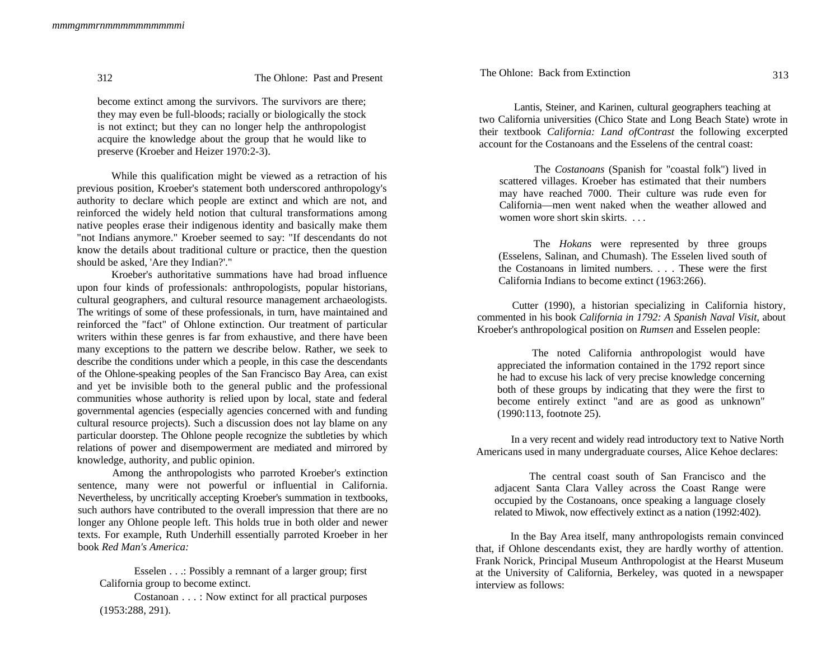The Ohlone: Past and Present

become extinct among the survivors. The survivors are there; they may even be full-bloods; racially or biologically the stock is not extinct; but they can no longer help the anthropologist acquire the knowledge about the group that he would like to preserve (Kroeber and Heizer 1970:2-3).

While this qualification might be viewed as a retraction of his previous position, Kroeber's statement both underscored anthropology's authority to declare which people are extinct and which are not, and reinforced the widely held notion that cultural transformations among native peoples erase their indigenous identity and basically make them "not Indians anymore." Kroeber seemed to say: "If descendants do not know the details about traditional culture or practice, then the question should be asked, 'Are they Indian?'."

Kroeber's authoritative summations have had broad influence upon four kinds of professionals: anthropologists, popular historians, cultural geographers, and cultural resource management archaeologists. The writings of some of these professionals, in turn, have maintained and reinforced the "fact" of Ohlone extinction. Our treatment of particular writers within these genres is far from exhaustive, and there have been many exceptions to the pattern we describe below. Rather, we seek to describe the conditions under which a people, in this case the descendants of the Ohlone-speaking peoples of the San Francisco Bay Area, can exist and yet be invisible both to the general public and the professional communities whose authority is relied upon by local, state and federal governmental agencies (especially agencies concerned with and funding cultural resource projects). Such a discussion does not lay blame on any particular doorstep. The Ohlone people recognize the subtleties by which relations of power and disempowerment are mediated and mirrored by knowledge, authority, and public opinion.

Among the anthropologists who parroted Kroeber's extinction sentence, many were not powerful or influential in California. Nevertheless, by uncritically accepting Kroeber's summation in textbooks, such authors have contributed to the overall impression that there are no longer any Ohlone people left. This holds true in both older and newer texts. For example, Ruth Underhill essentially parroted Kroeber in her book *Red Man's America:*

Esselen . . .: Possibly a remnant of a larger group; first California group to become extinct.

Costanoan . . . : Now extinct for all practical purposes (1953:288, 291).

Lantis, Steiner, and Karinen, cultural geographers teaching at two California universities (Chico State and Long Beach State) wrote in their textbook *California: Land ofContrast* the following excerpted account for the Costanoans and the Esselens of the central coast:

The *Costanoans* (Spanish for "coastal folk") lived in scattered villages. Kroeber has estimated that their numbers may have reached 7000. Their culture was rude even for California—men went naked when the weather allowed and women wore short skin skirts. . . .

The *Hokans* were represented by three groups (Esselens, Salinan, and Chumash). The Esselen lived south of the Costanoans in limited numbers. . . . These were the first California Indians to become extinct (1963:266).

Cutter (1990), a historian specializing in California history, commented in his book *California in 1792: A Spanish Naval Visit,* about Kroeber's anthropological position on *Rumsen* and Esselen people:

The noted California anthropologist would have appreciated the information contained in the 1792 report since he had to excuse his lack of very precise knowledge concerning both of these groups by indicating that they were the first to become entirely extinct "and are as good as unknown" (1990:113, footnote 25).

In a very recent and widely read introductory text to Native North Americans used in many undergraduate courses, Alice Kehoe declares:

The central coast south of San Francisco and the adjacent Santa Clara Valley across the Coast Range were occupied by the Costanoans, once speaking a language closely related to Miwok, now effectively extinct as a nation (1992:402).

In the Bay Area itself, many anthropologists remain convinced that, if Ohlone descendants exist, they are hardly worthy of attention. Frank Norick, Principal Museum Anthropologist at the Hearst Museum at the University of California, Berkeley, was quoted in a newspaper interview as follows:

312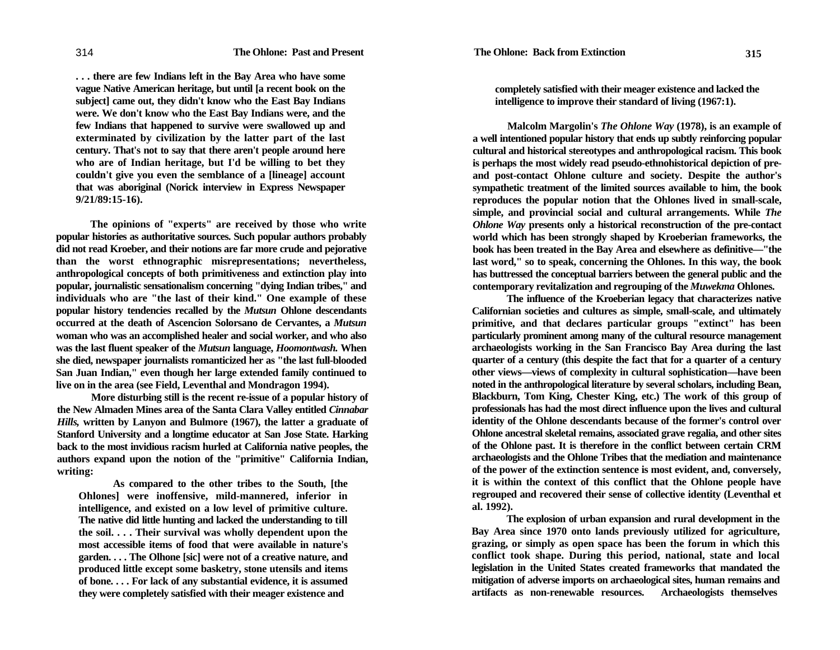**. . . there are few Indians left in the Bay Area who have some vague Native American heritage, but until [a recent book on the subject] came out, they didn't know who the East Bay Indians were. We don't know who the East Bay Indians were, and the few Indians that happened to survive were swallowed up and exterminated by civilization by the latter part of the last century. That's not to say that there aren't people around here who are of Indian heritage, but I'd be willing to bet they couldn't give you even the semblance of a [lineage] account that was aboriginal (Norick interview in Express Newspaper 9/21/89:15-16).**

**The opinions of "experts" are received by those who write popular histories as authoritative sources. Such popular authors probably did not read Kroeber, and their notions are far more crude and pejorative than the worst ethnographic misrepresentations; nevertheless, anthropological concepts of both primitiveness and extinction play into popular, journalistic sensationalism concerning "dying Indian tribes," and individuals who are "the last of their kind." One example of these popular history tendencies recalled by the** *Mutsun* **Ohlone descendants occurred at the death of Ascencion Solorsano de Cervantes, a** *Mutsun*  **woman who was an accomplished healer and social worker, and who also was the last fluent speaker of the** *Mutsun* **language,** *Hoomontwash.* **When she died, newspaper journalists romanticized her as "the last full-blooded San Juan Indian," even though her large extended family continued to live on in the area (see Field, Leventhal and Mondragon 1994).**

**More disturbing still is the recent re-issue of a popular history of the New Almaden Mines area of the Santa Clara Valley entitled** *Cinnabar Hills,* **written by Lanyon and Bulmore (1967), the latter a graduate of Stanford University and a longtime educator at San Jose State. Harking back to the most invidious racism hurled at California native peoples, the authors expand upon the notion of the "primitive" California Indian, writing:**

**As compared to the other tribes to the South, [the Ohlones] were inoffensive, mild-mannered, inferior in intelligence, and existed on a low level of primitive culture. The native did little hunting and lacked the understanding to till the soil. . . . Their survival was wholly dependent upon the most accessible items of food that were available in nature's garden. . . . The Olhone [sic] were not of a creative nature, and produced little except some basketry, stone utensils and items of bone. . . . For lack of any substantial evidence, it is assumed they were completely satisfied with their meager existence and**

**completely satisfied with their meager existence and lacked the intelligence to improve their standard of living (1967:1).**

**Malcolm Margolin's** *The Ohlone Way* **(1978), is an example of a well intentioned popular history that ends up subtly reinforcing popular cultural and historical stereotypes and anthropological racism. This book is perhaps the most widely read pseudo-ethnohistorical depiction of preand post-contact Ohlone culture and society. Despite the author's sympathetic treatment of the limited sources available to him, the book reproduces the popular notion that the Ohlones lived in small-scale, simple, and provincial social and cultural arrangements. While** *The Ohlone Way* **presents only a historical reconstruction of the pre-contact world which has been strongly shaped by Kroeberian frameworks, the book has been treated in the Bay Area and elsewhere as definitive—"the last word," so to speak, concerning the Ohlones. In this way, the book has buttressed the conceptual barriers between the general public and the contemporary revitalization and regrouping of the** *Muwekma* **Ohlones.**

**The influence of the Kroeberian legacy that characterizes native Californian societies and cultures as simple, small-scale, and ultimately primitive, and that declares particular groups "extinct" has been particularly prominent among many of the cultural resource management archaeologists working in the San Francisco Bay Area during the last quarter of a century (this despite the fact that for a quarter of a century other views—views of complexity in cultural sophistication—have been noted in the anthropological literature by several scholars, including Bean, Blackburn, Tom King, Chester King, etc.) The work of this group of professionals has had the most direct influence upon the lives and cultural identity of the Ohlone descendants because of the former's control over Ohlone ancestral skeletal remains, associated grave regalia, and other sites of the Ohlone past. It is therefore in the conflict between certain CRM archaeologists and the Ohlone Tribes that the mediation and maintenance of the power of the extinction sentence is most evident, and, conversely, it is within the context of this conflict that the Ohlone people have regrouped and recovered their sense of collective identity (Leventhal et al. 1992).**

**The explosion of urban expansion and rural development in the Bay Area since 1970 onto lands previously utilized for agriculture, grazing, or simply as open space has been the forum in which this conflict took shape. During this period, national, state and local legislation in the United States created frameworks that mandated the mitigation of adverse imports on archaeological sites, human remains and artifacts as non-renewable resources. Archaeologists themselves**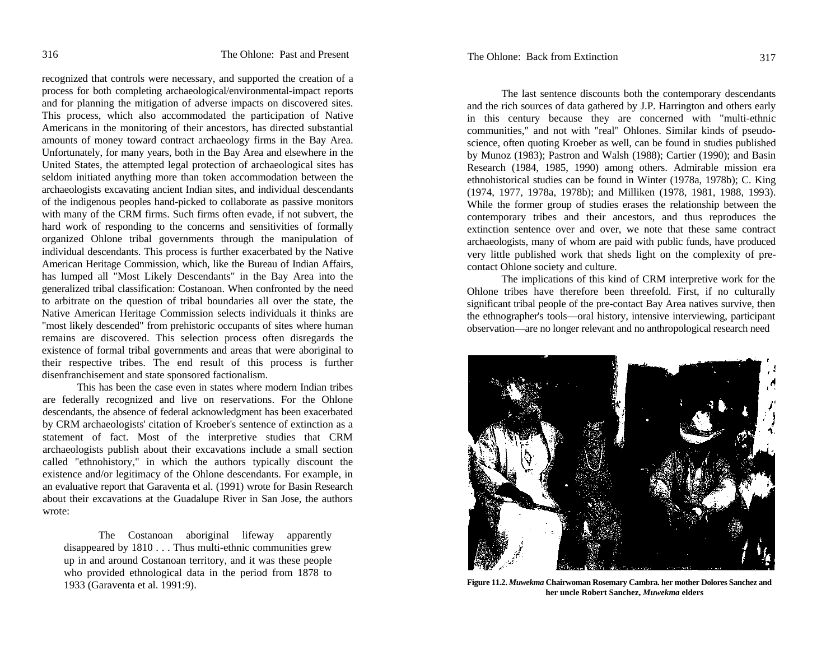recognized that controls were necessary, and supported the creation of a process for both completing archaeological/environmental-impact reports and for planning the mitigation of adverse impacts on discovered sites. This process, which also accommodated the participation of Native Americans in the monitoring of their ancestors, has directed substantial amounts of money toward contract archaeology firms in the Bay Area. Unfortunately, for many years, both in the Bay Area and elsewhere in the United States, the attempted legal protection of archaeological sites has seldom initiated anything more than token accommodation between the archaeologists excavating ancient Indian sites, and individual descendants of the indigenous peoples hand-picked to collaborate as passive monitors with many of the CRM firms. Such firms often evade, if not subvert, the hard work of responding to the concerns and sensitivities of formally organized Ohlone tribal governments through the manipulation of individual descendants. This process is further exacerbated by the Native American Heritage Commission, which, like the Bureau of Indian Affairs, has lumped all "Most Likely Descendants" in the Bay Area into the generalized tribal classification: Costanoan. When confronted by the need to arbitrate on the question of tribal boundaries all over the state, the Native American Heritage Commission selects individuals it thinks are "most likely descended" from prehistoric occupants of sites where human remains are discovered. This selection process often disregards the existence of formal tribal governments and areas that were aboriginal to their respective tribes. The end result of this process is further disenfranchisement and state sponsored factionalism.

This has been the case even in states where modern Indian tribes are federally recognized and live on reservations. For the Ohlone descendants, the absence of federal acknowledgment has been exacerbated by CRM archaeologists' citation of Kroeber's sentence of extinction as a statement of fact. Most of the interpretive studies that CRM archaeologists publish about their excavations include a small section called "ethnohistory," in which the authors typically discount the existence and/or legitimacy of the Ohlone descendants. For example, in an evaluative report that Garaventa et al. (1991) wrote for Basin Research about their excavations at the Guadalupe River in San Jose, the authors wrote:

The Costanoan aboriginal lifeway apparently disappeared by 1810 . . . Thus multi-ethnic communities grew up in and around Costanoan territory, and it was these people who provided ethnological data in the period from 1878 to 1933 (Garaventa et al. 1991:9).

The last sentence discounts both the contemporary descendants and the rich sources of data gathered by J.P. Harrington and others early in this century because they are concerned with "multi-ethnic communities," and not with "real" Ohlones. Similar kinds of pseudoscience, often quoting Kroeber as well, can be found in studies published by Munoz (1983); Pastron and Walsh (1988); Cartier (1990); and Basin Research (1984, 1985, 1990) among others. Admirable mission era ethnohistorical studies can be found in Winter (1978a, 1978b); C. King (1974, 1977, 1978a, 1978b); and Milliken (1978, 1981, 1988, 1993). While the former group of studies erases the relationship between the contemporary tribes and their ancestors, and thus reproduces the extinction sentence over and over, we note that these same contract archaeologists, many of whom are paid with public funds, have produced very little published work that sheds light on the complexity of precontact Ohlone society and culture.

The implications of this kind of CRM interpretive work for the Ohlone tribes have therefore been threefold. First, if no culturally significant tribal people of the pre-contact Bay Area natives survive, then the ethnographer's tools—oral history, intensive interviewing, participant observation—are no longer relevant and no anthropological research need



**Figure 11.2.** *Muwekma* **Chairwoman Rosemary Cambra. her mother Dolores Sanchez and her uncle Robert Sanchez,** *Muwekma* **elders**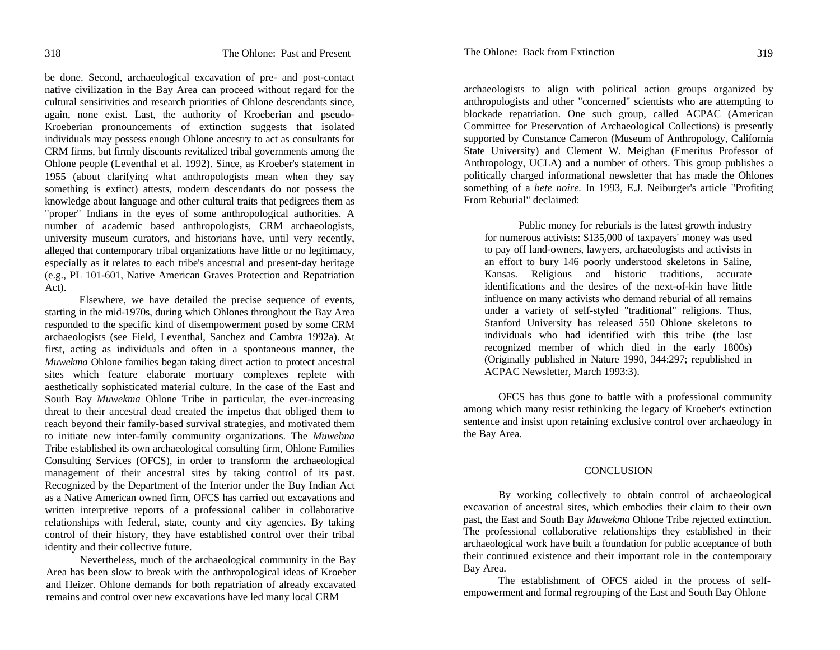be done. Second, archaeological excavation of pre- and post-contact native civilization in the Bay Area can proceed without regard for the cultural sensitivities and research priorities of Ohlone descendants since, again, none exist. Last, the authority of Kroeberian and pseudo-Kroeberian pronouncements of extinction suggests that isolated individuals may possess enough Ohlone ancestry to act as consultants for CRM firms, but firmly discounts revitalized tribal governments among the Ohlone people (Leventhal et al. 1992). Since, as Kroeber's statement in 1955 (about clarifying what anthropologists mean when they say something is extinct) attests, modern descendants do not possess the knowledge about language and other cultural traits that pedigrees them as "proper" Indians in the eyes of some anthropological authorities. A number of academic based anthropologists, CRM archaeologists, university museum curators, and historians have, until very recently, alleged that contemporary tribal organizations have little or no legitimacy, especially as it relates to each tribe's ancestral and present-day heritage (e.g., PL 101-601, Native American Graves Protection and Repatriation Act).

Elsewhere, we have detailed the precise sequence of events, starting in the mid-1970s, during which Ohlones throughout the Bay Area responded to the specific kind of disempowerment posed by some CRM archaeologists (see Field, Leventhal, Sanchez and Cambra 1992a). At first, acting as individuals and often in a spontaneous manner, the *Muwekma* Ohlone families began taking direct action to protect ancestral sites which feature elaborate mortuary complexes replete with aesthetically sophisticated material culture. In the case of the East and South Bay *Muwekma* Ohlone Tribe in particular, the ever-increasing threat to their ancestral dead created the impetus that obliged them to reach beyond their family-based survival strategies, and motivated them to initiate new inter-family community organizations. The *Muwebna*  Tribe established its own archaeological consulting firm, Ohlone Families Consulting Services (OFCS), in order to transform the archaeological management of their ancestral sites by taking control of its past. Recognized by the Department of the Interior under the Buy Indian Act as a Native American owned firm, OFCS has carried out excavations and written interpretive reports of a professional caliber in collaborative relationships with federal, state, county and city agencies. By taking control of their history, they have established control over their tribal identity and their collective future.

Nevertheless, much of the archaeological community in the Bay Area has been slow to break with the anthropological ideas of Kroeber and Heizer. Ohlone demands for both repatriation of already excavated remains and control over new excavations have led many local CRM

archaeologists to align with political action groups organized by anthropologists and other "concerned" scientists who are attempting to blockade repatriation. One such group, called ACPAC (American Committee for Preservation of Archaeological Collections) is presently supported by Constance Cameron (Museum of Anthropology, California State University) and Clement W. Meighan (Emeritus Professor of Anthropology, UCLA) and a number of others. This group publishes a politically charged informational newsletter that has made the Ohlones something of a *bete noire.* In 1993, E.J. Neiburger's article "Profiting From Reburial" declaimed:

Public money for reburials is the latest growth industry for numerous activists: \$135,000 of taxpayers' money was used to pay off land-owners, lawyers, archaeologists and activists in an effort to bury 146 poorly understood skeletons in Saline, Kansas. Religious and historic traditions, accurate identifications and the desires of the next-of-kin have little influence on many activists who demand reburial of all remains under a variety of self-styled "traditional" religions. Thus, Stanford University has released 550 Ohlone skeletons to individuals who had identified with this tribe (the last recognized member of which died in the early 1800s) (Originally published in Nature 1990, 344:297; republished in ACPAC Newsletter, March 1993:3).

OFCS has thus gone to battle with a professional community among which many resist rethinking the legacy of Kroeber's extinction sentence and insist upon retaining exclusive control over archaeology in the Bay Area.

#### CONCLUSION

By working collectively to obtain control of archaeological excavation of ancestral sites, which embodies their claim to their own past, the East and South Bay *Muwekma* Ohlone Tribe rejected extinction. The professional collaborative relationships they established in their archaeological work have built a foundation for public acceptance of both their continued existence and their important role in the contemporary Bay Area.

The establishment of OFCS aided in the process of selfempowerment and formal regrouping of the East and South Bay Ohlone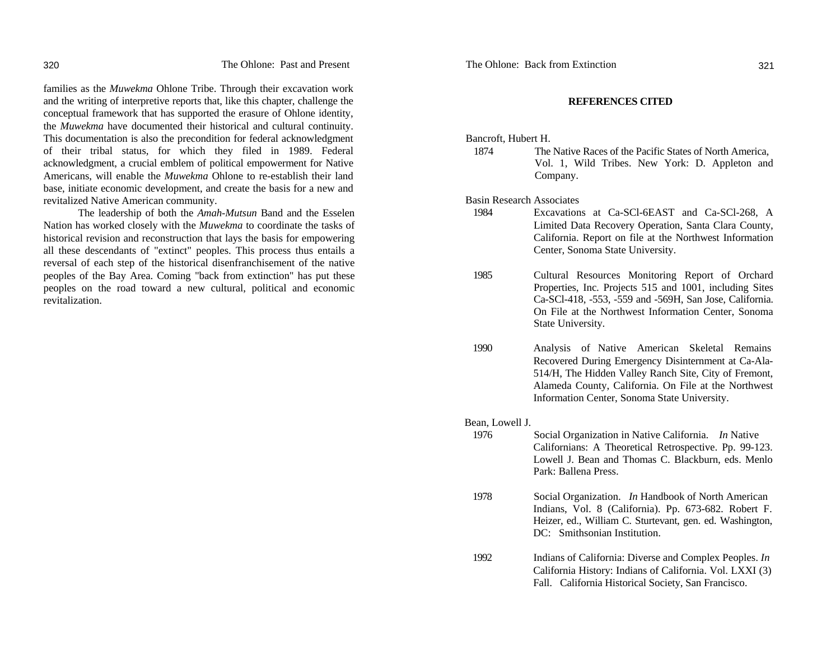families as the *Muwekma* Ohlone Tribe. Through their excavation work and the writing of interpretive reports that, like this chapter, challenge the conceptual framework that has supported the erasure of Ohlone identity, the *Muwekma* have documented their historical and cultural continuity. This documentation is also the precondition for federal acknowledgment of their tribal status, for which they filed in 1989. Federal acknowledgment, a crucial emblem of political empowerment for Native Americans, will enable the *Muwekma* Ohlone to re-establish their land base, initiate economic development, and create the basis for a new and revitalized Native American community.

The leadership of both the *Amah-Mutsun* Band and the Esselen Nation has worked closely with the *Muwekma* to coordinate the tasks of historical revision and reconstruction that lays the basis for empowering all these descendants of "extinct" peoples. This process thus entails a reversal of each step of the historical disenfranchisement of the native peoples of the Bay Area. Coming "back from extinction" has put these peoples on the road toward a new cultural, political and economic revitalization.

#### **REFERENCES CITED**

#### Bancroft, Hubert H.

1874 The Native Races of the Pacific States of North America, Vol. 1, Wild Tribes. New York: D. Appleton and Company.

Basin Research Associates

- 1984 Excavations at Ca-SCl-6EAST and Ca-SCl-268, A Limited Data Recovery Operation, Santa Clara County, California. Report on file at the Northwest Information Center, Sonoma State University.
- 1985 Cultural Resources Monitoring Report of Orchard Properties, Inc. Projects 515 and 1001, including Sites Ca-SCl-418, -553, -559 and -569H, San Jose, California. On File at the Northwest Information Center, Sonoma State University.
- 1990 Analysis of Native American Skeletal Remains Recovered During Emergency Disinternment at Ca-Ala-514/H, The Hidden Valley Ranch Site, City of Fremont, Alameda County, California. On File at the Northwest Information Center, Sonoma State University.

#### Bean, Lowell J.

- 1976 Social Organization in Native California. *In* Native Californians: A Theoretical Retrospective. Pp. 99-123. Lowell J. Bean and Thomas C. Blackburn, eds. Menlo Park: Ballena Press.
- 1978 Social Organization. *In* Handbook of North American Indians, Vol. 8 (California). Pp. 673-682. Robert F. Heizer, ed., William C. Sturtevant, gen. ed. Washington, DC: Smithsonian Institution.
- 1992 Indians of California: Diverse and Complex Peoples. *In* California History: Indians of California. Vol. LXXI (3) Fall. California Historical Society, San Francisco.

320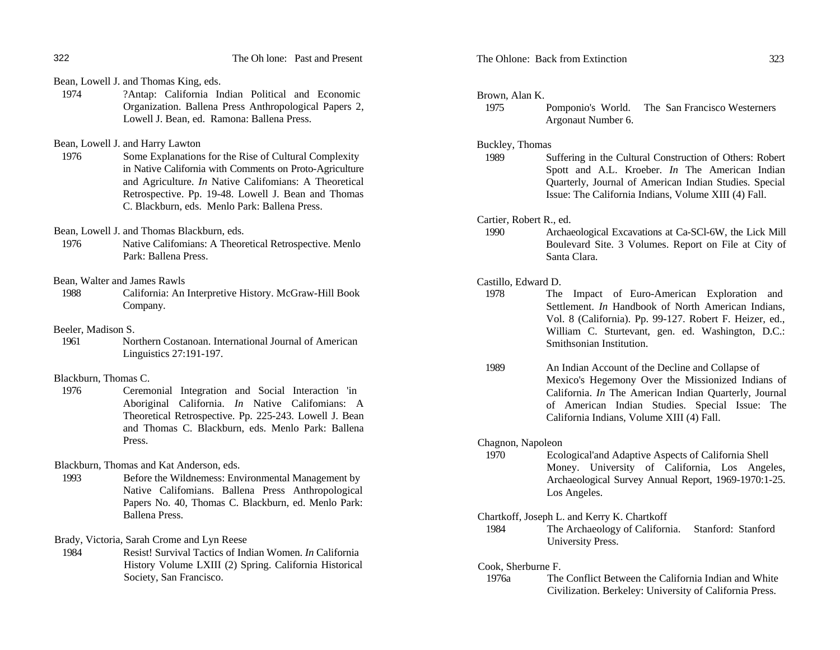Bean, Lowell J. and Thomas King, eds.

1974 ?Antap: California Indian Political and Economic Organization. Ballena Press Anthropological Papers 2, Lowell J. Bean, ed. Ramona: Ballena Press.

#### Bean, Lowell J. and Harry Lawton

1976 Some Explanations for the Rise of Cultural Complexity in Native California with Comments on Proto-Agriculture and Agriculture. *In* Native Califomians: A Theoretical Retrospective. Pp. 19-48. Lowell J. Bean and Thomas C. Blackburn, eds. Menlo Park: Ballena Press.

Bean, Lowell J. and Thomas Blackburn, eds.

1976 Native Califomians: A Theoretical Retrospective. Menlo Park: Ballena Press.

Bean, Walter and James Rawls

1988 California: An Interpretive History. McGraw-Hill Book Company.

#### Beeler, Madison S.

1961 Northern Costanoan. International Journal of American Linguistics 27:191-197.

#### Blackburn, Thomas C.

1976 Ceremonial Integration and Social Interaction 'in Aboriginal California. *In* Native Califomians: A Theoretical Retrospective. Pp. 225-243. Lowell J. Bean and Thomas C. Blackburn, eds. Menlo Park: Ballena Press.

Blackburn, Thomas and Kat Anderson, eds.

1993 Before the Wildnemess: Environmental Management by Native Califomians. Ballena Press Anthropological Papers No. 40, Thomas C. Blackburn, ed. Menlo Park: Ballena Press.

Brady, Victoria, Sarah Crome and Lyn Reese

1984 Resist! Survival Tactics of Indian Women. *In* California History Volume LXIII (2) Spring. California Historical Society, San Francisco.

#### Brown, Alan K.

1975 Pomponio's World. The San Francisco Westerners Argonaut Number 6.

#### Buckley, Thomas

1989 Suffering in the Cultural Construction of Others: Robert Spott and A.L. Kroeber. *In* The American Indian Quarterly, Journal of American Indian Studies. Special Issue: The California Indians, Volume XIII (4) Fall.

#### Cartier, Robert R., ed.

1990 Archaeological Excavations at Ca-SCl-6W, the Lick Mill Boulevard Site. 3 Volumes. Report on File at City of Santa Clara.

#### Castillo, Edward D.

- 1978 The Impact of Euro-American Exploration and Settlement. *In* Handbook of North American Indians, Vol. 8 (California). Pp. 99-127. Robert F. Heizer, ed., William C. Sturtevant, gen. ed. Washington, D.C.: Smithsonian Institution.
- 1989 An Indian Account of the Decline and Collapse of Mexico's Hegemony Over the Missionized Indians of California. *In* The American Indian Quarterly, Journal of American Indian Studies. Special Issue: The California Indians, Volume XIII (4) Fall.

#### Chagnon, Napoleon

1970 Ecological'and Adaptive Aspects of California Shell Money. University of California, Los Angeles, Archaeological Survey Annual Report, 1969-1970:1-25. Los Angeles.

#### Chartkoff, Joseph L. and Kerry K. Chartkoff

1984 The Archaeology of California. Stanford: Stanford University Press.

#### Cook, Sherburne F.

1976a The Conflict Between the California Indian and White Civilization. Berkeley: University of California Press.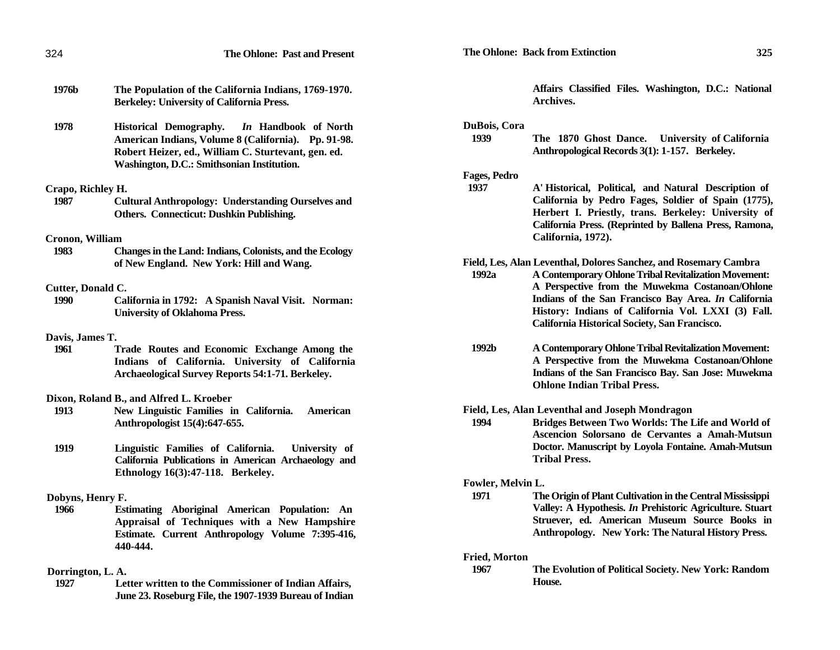| 324                       | The Ohlone: Past and Present                                                                                                                                                                               |                      | <b>The Ohlone: Back from Extinction</b><br>325                                                                                                                                                                                |
|---------------------------|------------------------------------------------------------------------------------------------------------------------------------------------------------------------------------------------------------|----------------------|-------------------------------------------------------------------------------------------------------------------------------------------------------------------------------------------------------------------------------|
| 1976b                     | The Population of the California Indians, 1769-1970.<br><b>Berkeley: University of California Press.</b>                                                                                                   |                      | Affairs Classified Files. Washington, D.C.: National<br>Archives.                                                                                                                                                             |
| 1978                      | Historical Demography.<br>In Handbook of North<br>American Indians, Volume 8 (California). Pp. 91-98.<br>Robert Heizer, ed., William C. Sturtevant, gen. ed.<br>Washington, D.C.: Smithsonian Institution. | DuBois, Cora<br>1939 | The 1870 Ghost Dance. University of California<br>Anthropological Records 3(1): 1-157. Berkeley.                                                                                                                              |
|                           |                                                                                                                                                                                                            | Fages, Pedro         |                                                                                                                                                                                                                               |
| Crapo, Richley H.<br>1987 | <b>Cultural Anthropology: Understanding Ourselves and</b><br>Others. Connecticut: Dushkin Publishing.                                                                                                      | 1937                 | A' Historical, Political, and Natural Description of<br>California by Pedro Fages, Soldier of Spain (1775),<br>Herbert I. Priestly, trans. Berkeley: University of<br>California Press. (Reprinted by Ballena Press, Ramona,  |
| Cronon, William           |                                                                                                                                                                                                            |                      | California, 1972).                                                                                                                                                                                                            |
| 1983                      | Changes in the Land: Indians, Colonists, and the Ecology<br>of New England. New York: Hill and Wang.                                                                                                       | 1992a                | Field, Les, Alan Leventhal, Dolores Sanchez, and Rosemary Cambra<br>A Contemporary Ohlone Tribal Revitalization Movement:                                                                                                     |
| Cutter, Donald C.         |                                                                                                                                                                                                            |                      | A Perspective from the Muwekma Costanoan/Ohlone                                                                                                                                                                               |
| <b>1990</b>               | California in 1792: A Spanish Naval Visit. Norman:<br><b>University of Oklahoma Press.</b>                                                                                                                 |                      | Indians of the San Francisco Bay Area. In California<br>History: Indians of California Vol. LXXI (3) Fall.<br>California Historical Society, San Francisco.                                                                   |
| Davis, James T.           |                                                                                                                                                                                                            |                      |                                                                                                                                                                                                                               |
| 1961                      | Trade Routes and Economic Exchange Among the<br>Indians of California. University of California<br>Archaeological Survey Reports 54:1-71. Berkeley.                                                        | 1992b                | A Contemporary Ohlone Tribal Revitalization Movement:<br>A Perspective from the Muwekma Costanoan/Ohlone<br>Indians of the San Francisco Bay. San Jose: Muwekma<br><b>Ohlone Indian Tribal Press.</b>                         |
|                           | Dixon, Roland B., and Alfred L. Kroeber                                                                                                                                                                    |                      |                                                                                                                                                                                                                               |
| 1913                      | New Linguistic Families in California.<br>American<br>Anthropologist 15(4):647-655.                                                                                                                        | 1994                 | Field, Les, Alan Leventhal and Joseph Mondragon<br>Bridges Between Two Worlds: The Life and World of<br>Ascencion Solorsano de Cervantes a Amah-Mutsun                                                                        |
| 1919                      | Linguistic Families of California.<br>University of<br>California Publications in American Archaeology and<br>Ethnology 16(3):47-118. Berkeley.                                                            |                      | Doctor. Manuscript by Loyola Fontaine. Amah-Mutsun<br><b>Tribal Press.</b>                                                                                                                                                    |
|                           |                                                                                                                                                                                                            | Fowler, Melvin L.    |                                                                                                                                                                                                                               |
| Dobyns, Henry F.<br>1966  | Estimating Aboriginal American Population: An<br>Appraisal of Techniques with a New Hampshire<br>Estimate. Current Anthropology Volume 7:395-416,<br>440-444.                                              | 1971                 | The Origin of Plant Cultivation in the Central Mississippi<br>Valley: A Hypothesis. In Prehistoric Agriculture. Stuart<br>Struever, ed. American Museum Source Books in<br>Anthropology. New York: The Natural History Press. |
|                           |                                                                                                                                                                                                            | <b>Fried, Morton</b> |                                                                                                                                                                                                                               |
| Dorrington, L. A.         |                                                                                                                                                                                                            | 1967                 | The Evolution of Political Society. New York: Random                                                                                                                                                                          |

**1927 Letter written to the Commissioner of Indian Affairs, June 23. Roseburg File, the 1907-1939 Bureau of Indian**

#### **DuBois, Cora**

#### **Fages, Pedro**

- **1937 A' Historical, Political, and Natural Description of California by Pedro Fages, Soldier of Spain (1775), Herbert I. Priestly, trans. Berkeley: University of California Press. (Reprinted by Ballena Press, Ramona, California, 1972).**
- **Field, Les, Alan Leventhal, Dolores Sanchez, and Rosemary Cambra 1992a A Contemporary Ohlone Tribal Revitalization Movement: A Perspective from the Muwekma Costanoan/Ohlone Indians of the San Francisco Bay Area.** *In* **California History: Indians of California Vol. LXXI (3) Fall. California Historical Society, San Francisco.**
- **1992b A Contemporary Ohlone Tribal Revitalization Movement: A Perspective from the Muwekma Costanoan/Ohlone Indians of the San Francisco Bay. San Jose: Muwekma Ohlone Indian Tribal Press.**

#### **Field, Les, Alan Leventhal and Joseph Mondragon**

#### **Fowler, Melvin L.**

#### **Fried, Morton**

**1967 The Evolution of Political Society. New York: Random House.**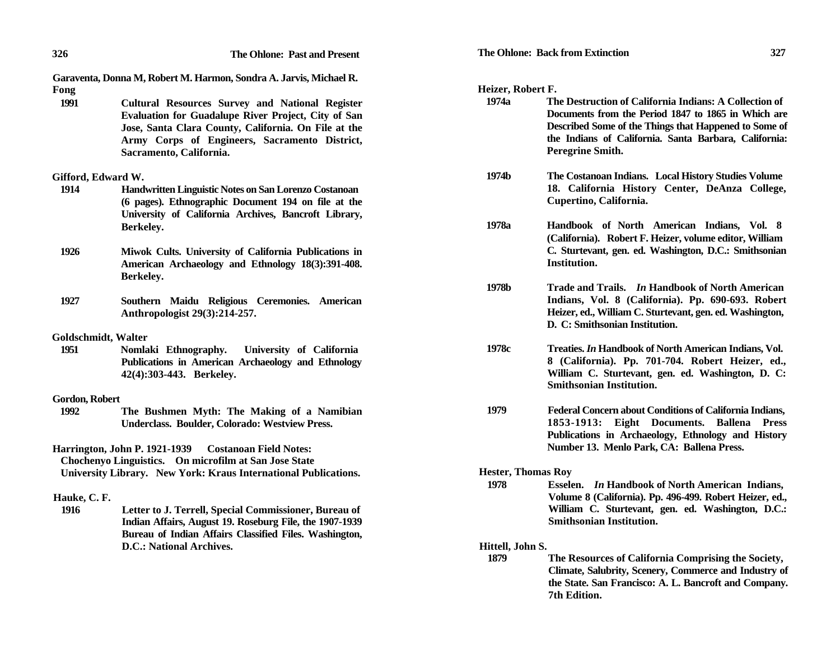**Garaventa, Donna M, Robert M. Harmon, Sondra A. Jarvis, Michael R. Fong**

**1991 Cultural Resources Survey and National Register Evaluation for Guadalupe River Project, City of San Jose, Santa Clara County, California. On File at the Army Corps of Engineers, Sacramento District, Sacramento, California.**

#### **Gifford, Edward W.**

- **1914 Handwritten Linguistic Notes on San Lorenzo Costanoan (6 pages). Ethnographic Document 194 on file at the University of California Archives, Bancroft Library, Berkeley.**
- **1926 Miwok Cults. University of California Publications in American Archaeology and Ethnology 18(3):391-408. Berkeley.**
- **1927 Southern Maidu Religious Ceremonies. American Anthropologist 29(3):214-257.**

#### **Goldschmidt, Walter**

**1951 Nomlaki Ethnography. University of California Publications in American Archaeology and Ethnology 42(4):303-443. Berkeley.**

#### **Gordon, Robert**

**1992 The Bushmen Myth: The Making of a Namibian Underclass. Boulder, Colorado: Westview Press.**

### **Harrington, John P. 1921-1939 Costanoan Field Notes:**

**Chochenyo Linguistics. On microfilm at San Jose State** 

### **University Library. New York: Kraus International Publications.**

#### **Hauke, C. F.**

**1916 Letter to J. Terrell, Special Commissioner, Bureau of Indian Affairs, August 19. Roseburg File, the 1907-1939 Bureau of Indian Affairs Classified Files. Washington, D.C.: National Archives.**

**Heizer, Robert F.** 

- **1974a The Destruction of California Indians: A Collection of Documents from the Period 1847 to 1865 in Which are Described Some of the Things that Happened to Some of the Indians of California. Santa Barbara, California: Peregrine Smith.**
- **1974b The Costanoan Indians. Local History Studies Volume 18. California History Center, DeAnza College, Cupertino, California.**
- **1978a Handbook of North American Indians, Vol. 8 (California). Robert F. Heizer, volume editor, William C. Sturtevant, gen. ed. Washington, D.C.: Smithsonian Institution.**
- **1978b Trade and Trails.** *In* **Handbook of North American Indians, Vol. 8 (California). Pp. 690-693. Robert Heizer, ed., William C. Sturtevant, gen. ed. Washington, D. C: Smithsonian Institution.**
- **1978c Treaties.** *In* **Handbook of North American Indians, Vol. 8 (California). Pp. 701-704. Robert Heizer, ed., William C. Sturtevant, gen. ed. Washington, D. C: Smithsonian Institution.**
- **1979 Federal Concern about Conditions of California Indians, 1853-1913: Eight Documents. Ballena Press Publications in Archaeology, Ethnology and History Number 13. Menlo Park, CA: Ballena Press.**

#### **Hester, Thomas Roy**

**1978 Esselen.** *In* **Handbook of North American Indians, Volume 8 (California). Pp. 496-499. Robert Heizer, ed., William C. Sturtevant, gen. ed. Washington, D.C.: Smithsonian Institution.**

#### **Hittell, John S.**

**1879 The Resources of California Comprising the Society, Climate, Salubrity, Scenery, Commerce and Industry of the State. San Francisco: A. L. Bancroft and Company. 7th Edition.**

**326**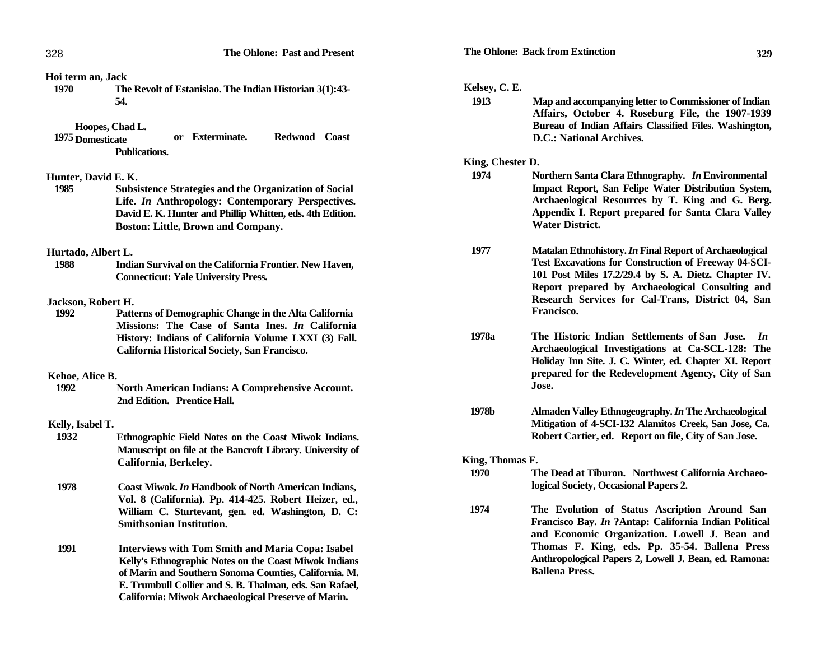|  | Hoi term an, Jack |
|--|-------------------|
|  |                   |

**1970 The Revolt of Estanislao. The Indian Historian 3(1):43- 54.**

#### **Hoopes, Chad L.**

**Domesticate 1975Publications.or Exterminate. Redwood Coast**

#### **Hunter, David E. K.**

**1985 Subsistence Strategies and the Organization of Social Life.** *In* **Anthropology: Contemporary Perspectives. David E. K. Hunter and Phillip Whitten, eds. 4th Edition. Boston: Little, Brown and Company.**

#### **Hurtado, Albert L.**

**1988 Indian Survival on the California Frontier. New Haven, Connecticut: Yale University Press.**

#### **Jackson, Robert H.**

**1992 Patterns of Demographic Change in the Alta California Missions: The Case of Santa Ines.** *In* **California History: Indians of California Volume LXXI (3) Fall. California Historical Society, San Francisco.**

#### **Kehoe, Alice B.**

**1992 North American Indians: A Comprehensive Account. 2nd Edition. Prentice Hall.**

#### **Kelly, Isabel T.**

- **Ethnographic Field Notes on the Coast Miwok Indians. Manuscript on file at the Bancroft Library. University of California, Berkeley. 1932**
- **1978 Coast Miwok.** *In* **Handbook of North American Indians, Vol. 8 (California). Pp. 414-425. Robert Heizer, ed., William C. Sturtevant, gen. ed. Washington, D. C: Smithsonian Institution.**
- **1991 Interviews with Tom Smith and Maria Copa: Isabel Kelly's Ethnographic Notes on the Coast Miwok Indians of Marin and Southern Sonoma Counties, California. M. E. Trumbull Collier and S. B. Thalman, eds. San Rafael, California: Miwok Archaeological Preserve of Marin.**

#### **The Ohlone: Past and Present The Ohlone: Back from Extinction 329**

#### **Kelsey, C. E.**

**1913 Map and accompanying letter to Commissioner of Indian Affairs, October 4. Roseburg File, the 1907-1939 Bureau of Indian Affairs Classified Files. Washington, D.C.: National Archives.**

#### **King, Chester D.**

- **1974 Northern Santa Clara Ethnography.** *In* **Environmental Impact Report, San Felipe Water Distribution System, Archaeological Resources by T. King and G. Berg. Appendix I. Report prepared for Santa Clara Valley Water District.**
- **1977 Matalan Ethnohistory.** *In* **Final Report of Archaeological Test Excavations for Construction of Freeway 04-SCI-101 Post Miles 17.2/29.4 by S. A. Dietz. Chapter IV. Report prepared by Archaeological Consulting and Research Services for Cal-Trans, District 04, San Francisco.**
- **1978a The Historic Indian Settlements of San Jose.** *In***Archaeological Investigations at Ca-SCL-128: The Holiday Inn Site. J. C. Winter, ed. Chapter XI. Report prepared for the Redevelopment Agency, City of San Jose.**
- **1978b Almaden Valley Ethnogeography.** *In* **The Archaeological Mitigation of 4-SCI-132 Alamitos Creek, San Jose, Ca. Robert Cartier, ed. Report on file, City of San Jose.**

#### **King, Thomas F.**

- **1970 The Dead at Tiburon. Northwest California Archaeological Society, Occasional Papers 2.**
- **1974 The Evolution of Status Ascription Around San Francisco Bay.** *In* **?Antap: California Indian Political and Economic Organization. Lowell J. Bean and Thomas F. King, eds. Pp. 35-54. Ballena Press Anthropological Papers 2, Lowell J. Bean, ed. Ramona: Ballena Press.**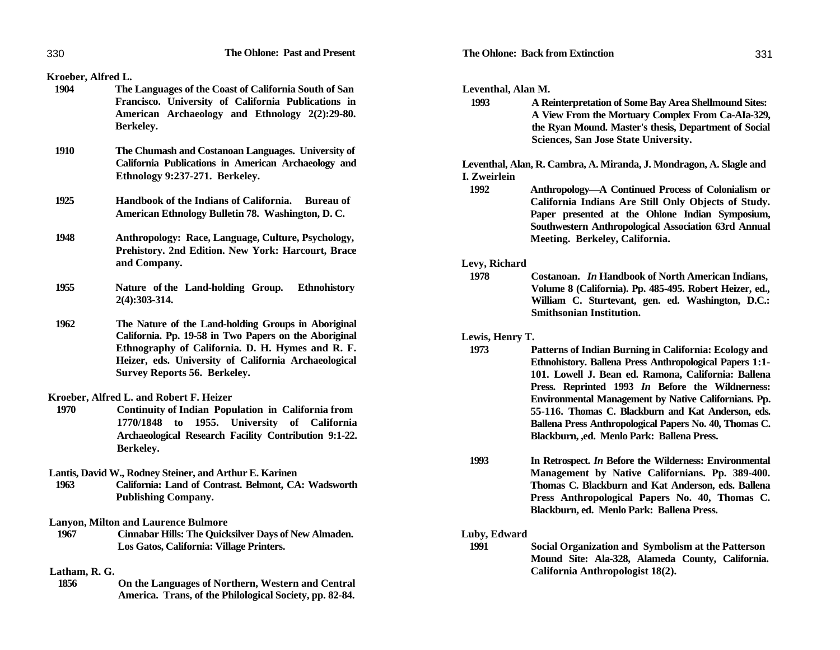330

#### **Kroeber, Alfred L.**

- **1904 The Languages of the Coast of California South of San Francisco. University of California Publications in American Archaeology and Ethnology 2(2):29-80. Berkeley.**
- **1910 The Chumash and Costanoan Languages. University of California Publications in American Archaeology and Ethnology 9:237-271. Berkeley.**
- **1925 Handbook of the Indians of California. Bureau of American Ethnology Bulletin 78. Washington, D. C.**
- **1948 Anthropology: Race, Language, Culture, Psychology, Prehistory. 2nd Edition. New York: Harcourt, Brace and Company.**
- **1955 Nature of the Land-holding Group. Ethnohistory 2(4):303-314.**
- **1962 The Nature of the Land-holding Groups in Aboriginal California. Pp. 19-58 in Two Papers on the Aboriginal Ethnography of California. D. H. Hymes and R. F. Heizer, eds. University of California Archaeological Survey Reports 56. Berkeley.**

#### **Kroeber, Alfred L. and Robert F. Heizer**

- **1970 Continuity of Indian Population in California from 1770/1848 to 1955. University of California Archaeological Research Facility Contribution 9:1-22. Berkeley.**
- **Lantis, David W., Rodney Steiner, and Arthur E. Karinen**
- **1963 California: Land of Contrast. Belmont, CA: Wadsworth Publishing Company.**
- **Lanyon, Milton and Laurence Bulmore**
- **1967 Cinnabar Hills: The Quicksilver Days of New Almaden. Los Gatos, California: Village Printers.**
- **Latham, R. G.** 
	- **1856 On the Languages of Northern, Western and Central America. Trans, of the Philological Society, pp. 82-84.**

#### **Leventhal, Alan M.**

**1993 A Reinterpretation of Some Bay Area Shellmound Sites: A View From the Mortuary Complex From Ca-AIa-329, the Ryan Mound. Master's thesis, Department of Social Sciences, San Jose State University.**

**Leventhal, Alan, R. Cambra, A. Miranda, J. Mondragon, A. Slagle and I. Zweirlein**

**1992 Anthropology—A Continued Process of Colonialism or California Indians Are Still Only Objects of Study. Paper presented at the Ohlone Indian Symposium, Southwestern Anthropological Association 63rd Annual Meeting. Berkeley, California.**

#### **Levy, Richard**

**1978 Costanoan.** *In* **Handbook of North American Indians, Volume 8 (California). Pp. 485-495. Robert Heizer, ed., William C. Sturtevant, gen. ed. Washington, D.C.: Smithsonian Institution.**

#### **Lewis, Henry T.**

- **1973 Patterns of Indian Burning in California: Ecology and Ethnohistory. Ballena Press Anthropological Papers 1:1- 101. Lowell J. Bean ed. Ramona, California: Ballena Press. Reprinted 1993** *In* **Before the Wildnerness: Environmental Management by Native Californians. Pp. 55-116. Thomas C. Blackburn and Kat Anderson, eds. Ballena Press Anthropological Papers No. 40, Thomas C. Blackburn, ,ed. Menlo Park: Ballena Press.**
- **1993 In Retrospect.** *In* **Before the Wilderness: Environmental Management by Native Californians. Pp. 389-400. Thomas C. Blackburn and Kat Anderson, eds. Ballena Press Anthropological Papers No. 40, Thomas C. Blackburn, ed. Menlo Park: Ballena Press.**

#### **Luby, Edward**

**1991 Social Organization and Symbolism at the Patterson Mound Site: Ala-328, Alameda County, California. California Anthropologist 18(2).**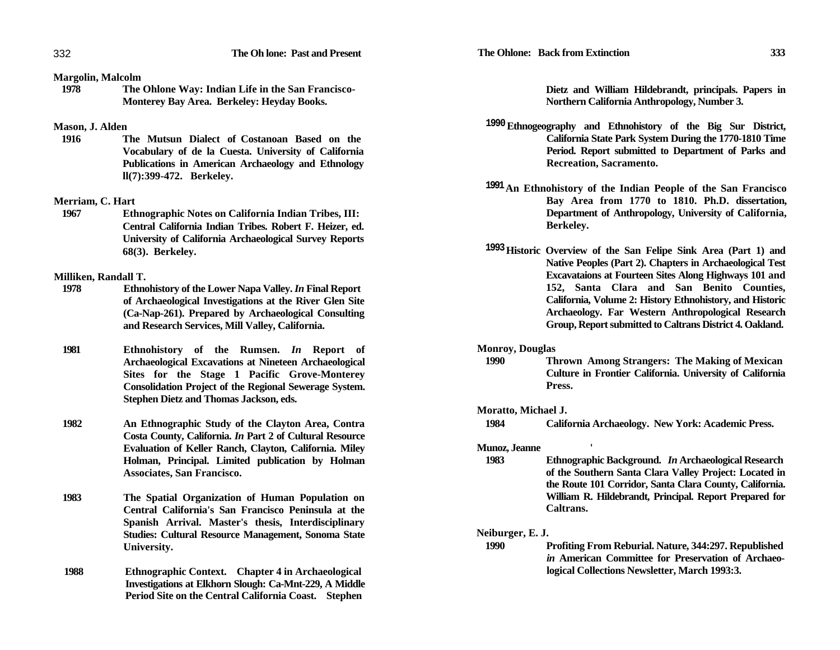332

#### **Margolin, Malcolm**

**1978 The Ohlone Way: Indian Life in the San Francisco-Monterey Bay Area. Berkeley: Heyday Books.**

#### **Mason, J. Alden**

**1916 The Mutsun Dialect of Costanoan Based on the Vocabulary of de la Cuesta. University of California Publications in American Archaeology and Ethnology ll(7):399-472. Berkeley.**

#### **Merriam, C. Hart**

**1967 Ethnographic Notes on California Indian Tribes, III: Central California Indian Tribes. Robert F. Heizer, ed. University of California Archaeological Survey Reports 68(3). Berkeley.**

#### **Milliken, Randall T.**

- **1978 Ethnohistory of the Lower Napa Valley.** *In* **Final Report of Archaeological Investigations at the River Glen Site (Ca-Nap-261). Prepared by Archaeological Consulting and Research Services, Mill Valley, California.**
- **1981 Ethnohistory of the Rumsen.** *In* **Report of Archaeological Excavations at Nineteen Archaeological Sites for the Stage 1 Pacific Grove-Monterey Consolidation Project of the Regional Sewerage System. Stephen Dietz and Thomas Jackson, eds.**
- **1982 An Ethnographic Study of the Clayton Area, Contra Costa County, California.** *In* **Part 2 of Cultural Resource Evaluation of Keller Ranch, Clayton, California. Miley Holman, Principal. Limited publication by Holman Associates, San Francisco.**
- **1983 The Spatial Organization of Human Population on Central California's San Francisco Peninsula at the Spanish Arrival. Master's thesis, Interdisciplinary Studies: Cultural Resource Management, Sonoma State University.**
- **1988 Ethnographic Context. Chapter 4 in Archaeological Investigations at Elkhorn Slough: Ca-Mnt-229, A Middle Period Site on the Central California Coast. Stephen**

**Dietz and William Hildebrandt, principals. Papers in Northern California Anthropology, Number 3.**

- **Ethnogeography and Ethnohistory of the Big Sur District, 1990 California State Park System During the 1770-1810 Time Period. Report submitted to Department of Parks and Recreation, Sacramento.**
- **An Ethnohistory of the Indian People of the San Francisco 1991 Bay Area from 1770 to 1810. Ph.D. dissertation, Department of Anthropology, University of California, Berkeley.**
- **Historic Overview of the San Felipe Sink Area (Part 1) and 1993 Native Peoples (Part 2). Chapters in Archaeological Test Excavataions at Fourteen Sites Along Highways 101 and 152, Santa Clara and San Benito Counties, California, Volume 2: History Ethnohistory, and Historic Archaeology. Far Western Anthropological Research Group, Report submitted to Caltrans District 4. Oakland.**

#### **Monroy, Douglas**

**1990 Thrown Among Strangers: The Making of Mexican Culture in Frontier California. University of California Press.**

#### **Moratto, Michael J.**

**California Archaeology. New York: Academic Press.**

#### **Munoz, Jeanne '**

**1984**

**1983 Ethnographic Background.** *In* **Archaeological Research of the Southern Santa Clara Valley Project: Located in the Route 101 Corridor, Santa Clara County, California. William R. Hildebrandt, Principal. Report Prepared for Caltrans.**

#### **Neiburger, E. J.**

**1990 Profiting From Reburial. Nature, 344:297. Republished** *in* **American Committee for Preservation of Archaeological Collections Newsletter, March 1993:3.**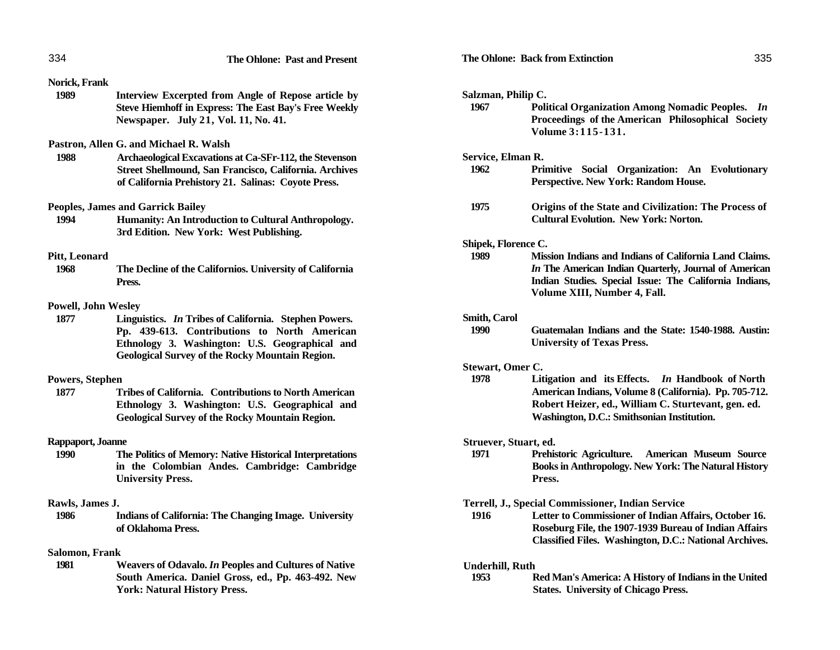| 334                        | <b>The Ohlone: Past and Present</b>                                                            |                     | <b>The Ohlone: Back from Extinction</b>                                                                                           | 335 |
|----------------------------|------------------------------------------------------------------------------------------------|---------------------|-----------------------------------------------------------------------------------------------------------------------------------|-----|
| Norick, Frank              |                                                                                                |                     |                                                                                                                                   |     |
| 1989                       | Interview Excerpted from Angle of Repose article by                                            | Salzman, Philip C.  |                                                                                                                                   |     |
|                            | Steve Hiemhoff in Express: The East Bay's Free Weekly<br>Newspaper. July 21, Vol. 11, No. 41.  | 1967                | <b>Political Organization Among Nomadic Peoples.</b> In<br>Proceedings of the American Philosophical Society<br>Volume 3:115-131. |     |
|                            | Pastron, Allen G. and Michael R. Walsh                                                         |                     |                                                                                                                                   |     |
| 1988                       | Archaeological Excavations at Ca-SFr-112, the Stevenson                                        | Service, Elman R.   |                                                                                                                                   |     |
|                            | Street Shellmound, San Francisco, California. Archives                                         | 1962                | Primitive Social Organization: An Evolutionary                                                                                    |     |
|                            | of California Prehistory 21. Salinas: Coyote Press.                                            |                     | Perspective. New York: Random House.                                                                                              |     |
|                            | <b>Peoples, James and Garrick Bailey</b>                                                       | 1975                | Origins of the State and Civilization: The Process of                                                                             |     |
| 1994                       | Humanity: An Introduction to Cultural Anthropology.<br>3rd Edition. New York: West Publishing. |                     | <b>Cultural Evolution. New York: Norton.</b>                                                                                      |     |
|                            |                                                                                                | Shipek, Florence C. |                                                                                                                                   |     |
| Pitt, Leonard              |                                                                                                | 1989                | Mission Indians and Indians of California Land Claims.                                                                            |     |
| 1968                       | The Decline of the Californios. University of California<br>Press.                             |                     | In The American Indian Quarterly, Journal of American<br>Indian Studies. Special Issue: The California Indians,                   |     |
|                            |                                                                                                |                     | Volume XIII, Number 4, Fall.                                                                                                      |     |
| <b>Powell, John Wesley</b> |                                                                                                |                     |                                                                                                                                   |     |
| 1877                       | Linguistics. <i>In</i> Tribes of California. Stephen Powers.                                   | Smith, Carol        |                                                                                                                                   |     |
|                            | Pp. 439-613. Contributions to North American                                                   | 1990                | Guatemalan Indians and the State: 1540-1988. Austin:                                                                              |     |
|                            | Ethnology 3. Washington: U.S. Geographical and                                                 |                     | <b>University of Texas Press.</b>                                                                                                 |     |
|                            | <b>Geological Survey of the Rocky Mountain Region.</b>                                         | Stewart, Omer C.    |                                                                                                                                   |     |
| Powers, Stephen            |                                                                                                | 1978                | Litigation and its Effects. In Handbook of North                                                                                  |     |
| 1877                       | Tribes of California. Contributions to North American                                          |                     | American Indians, Volume 8 (California). Pp. 705-712.                                                                             |     |
|                            | Ethnology 3. Washington: U.S. Geographical and                                                 |                     | Robert Heizer, ed., William C. Sturtevant, gen. ed.                                                                               |     |
|                            | <b>Geological Survey of the Rocky Mountain Region.</b>                                         |                     | Washington, D.C.: Smithsonian Institution.                                                                                        |     |
| Rappaport, Joanne          |                                                                                                |                     | Struever, Stuart, ed.                                                                                                             |     |
| 1990                       | The Politics of Memory: Native Historical Interpretations                                      | 1971                | Prehistoric Agriculture. American Museum Source                                                                                   |     |
|                            | in the Colombian Andes. Cambridge: Cambridge                                                   |                     | <b>Books in Anthropology. New York: The Natural History</b>                                                                       |     |

**Rawls, James J.** 

**1986 Indians of California: The Changing Image. University of Oklahoma Press.**

**University Press.**

#### **Salomon, Frank**

**1981 Weavers of Odavalo.** *In* **Peoples and Cultures of Native South America. Daniel Gross, ed., Pp. 463-492. New York: Natural History Press.**

- **Phonomatic Peoples.** *In* **Philosophical Society**
- **Primitive Society Society Person House.**
- **Civilization: The Process of Cultural Evolution. New York: Norton.**
- **1989 Mission Indians and Indians of California Land Claims. Indian Property, Journal of American** sue: The California Indians, **Fall.**
- **1990 France: 1540-1988. Austin: University of Texas Press.**
- **Litigation and its Effects.** *In* **Handbook of North American Indians, Pp. 705-712. Pp. 705-712. Robert E. Sturtevant, gen. ed. Washington, D.C.: Smithsonian Institution.**
- **American Museum Source Books in Anthropology. New York: The Natural History Press.**

#### **Terrell, J., Special Commissioner, Indian Service**

**1916 Letter to Commissioner of Indian Affairs, October 16. Roseburg File, the 1907-1939 Bureau of Indian Affairs Classified Files. Washington, D.C.: National Archives.**

#### **Underhill, Ruth**

**1953 Red Man's America: A History of Indians in the United States. University of Chicago Press.**